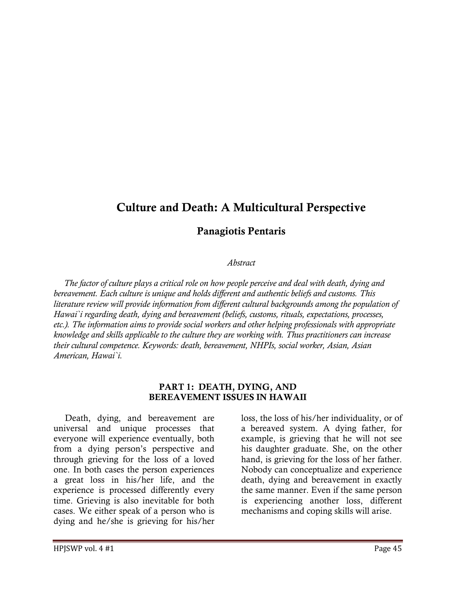# Culture and Death: A Multicultural Perspective

## Panagiotis Pentaris

#### Abstract

 The factor of culture plays a critical role on how people perceive and deal with death, dying and bereavement. Each culture is unique and holds different and authentic beliefs and customs. This literature review will provide information from different cultural backgrounds among the population of Hawai`i regarding death, dying and bereavement (beliefs, customs, rituals, expectations, processes, etc.). The information aims to provide social workers and other helping professionals with appropriate knowledge and skills applicable to the culture they are working with. Thus practitioners can increase their cultural competence. Keywords: death, bereavement, NHPIs, social worker, Asian, Asian American, Hawai`i.

#### PART 1: DEATH, DYING, AND BEREAVEMENT ISSUES IN HAWAII

 Death, dying, and bereavement are universal and unique processes that everyone will experience eventually, both from a dying person's perspective and through grieving for the loss of a loved one. In both cases the person experiences a great loss in his/her life, and the experience is processed differently every time. Grieving is also inevitable for both cases. We either speak of a person who is dying and he/she is grieving for his/her

loss, the loss of his/her individuality, or of a bereaved system. A dying father, for example, is grieving that he will not see his daughter graduate. She, on the other hand, is grieving for the loss of her father. Nobody can conceptualize and experience death, dying and bereavement in exactly the same manner. Even if the same person is experiencing another loss, different mechanisms and coping skills will arise.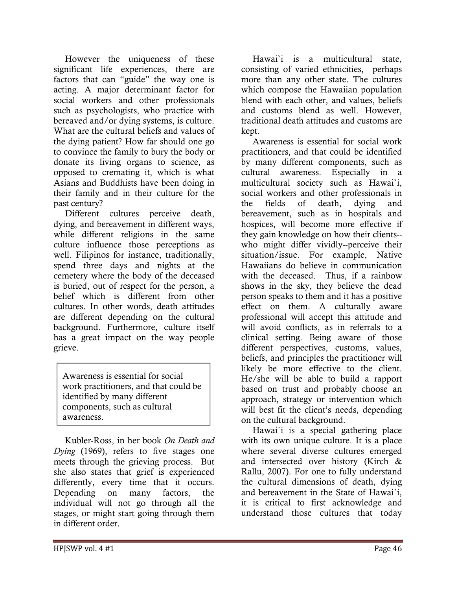However the uniqueness of these significant life experiences, there are factors that can "guide" the way one is acting. A major determinant factor for social workers and other professionals such as psychologists, who practice with bereaved and/or dying systems, is culture. What are the cultural beliefs and values of the dying patient? How far should one go to convince the family to bury the body or donate its living organs to science, as opposed to cremating it, which is what Asians and Buddhists have been doing in their family and in their culture for the past century?

 Different cultures perceive death, dying, and bereavement in different ways, while different religions in the same culture influence those perceptions as well. Filipinos for instance, traditionally, spend three days and nights at the cemetery where the body of the deceased is buried, out of respect for the person, a belief which is different from other cultures. In other words, death attitudes are different depending on the cultural background. Furthermore, culture itself has a great impact on the way people grieve.

Awareness is essential for social work practitioners, and that could be identified by many different components, such as cultural awareness.

 Kubler-Ross, in her book On Death and Dying (1969), refers to five stages one meets through the grieving process. But she also states that grief is experienced differently, every time that it occurs. Depending on many factors, the individual will not go through all the stages, or might start going through them in different order.

 Hawai`i is a multicultural state, consisting of varied ethnicities, perhaps more than any other state. The cultures which compose the Hawaiian population blend with each other, and values, beliefs and customs blend as well. However, traditional death attitudes and customs are kept.

 Awareness is essential for social work practitioners, and that could be identified by many different components, such as cultural awareness. Especially in a multicultural society such as Hawai`i, social workers and other professionals in the fields of death, dying and bereavement, such as in hospitals and hospices, will become more effective if they gain knowledge on how their clients- who might differ vividly--perceive their situation/issue. For example, Native Hawaiians do believe in communication with the deceased. Thus, if a rainbow shows in the sky, they believe the dead person speaks to them and it has a positive effect on them. A culturally aware professional will accept this attitude and will avoid conflicts, as in referrals to a clinical setting. Being aware of those different perspectives, customs, values, beliefs, and principles the practitioner will likely be more effective to the client. He/she will be able to build a rapport based on trust and probably choose an approach, strategy or intervention which will best fit the client's needs, depending on the cultural background.

 Hawai`i is a special gathering place with its own unique culture. It is a place where several diverse cultures emerged and intersected over history (Kirch & Rallu, 2007). For one to fully understand the cultural dimensions of death, dying and bereavement in the State of Hawai`i, it is critical to first acknowledge and understand those cultures that today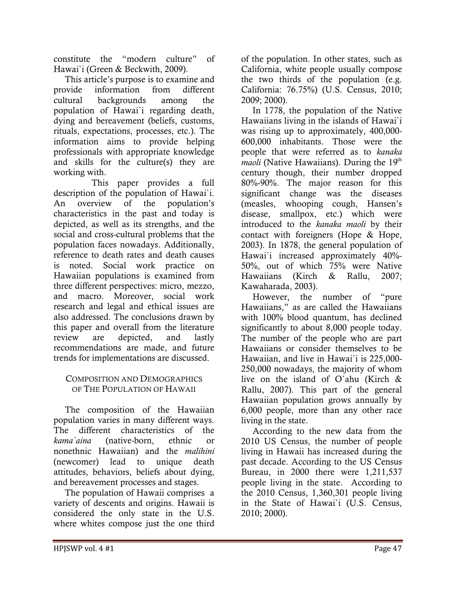constitute the "modern culture" of Hawai`i (Green & Beckwith, 2009).

 This article's purpose is to examine and provide information from different cultural backgrounds among the population of Hawai`i regarding death, dying and bereavement (beliefs, customs, rituals, expectations, processes, etc.). The information aims to provide helping professionals with appropriate knowledge and skills for the culture(s) they are working with.

 This paper provides a full description of the population of Hawai`i. An overview of the population's characteristics in the past and today is depicted, as well as its strengths, and the social and cross-cultural problems that the population faces nowadays. Additionally, reference to death rates and death causes is noted. Social work practice on Hawaiian populations is examined from three different perspectives: micro, mezzo, and macro. Moreover, social work research and legal and ethical issues are also addressed. The conclusions drawn by this paper and overall from the literature review are depicted, and lastly recommendations are made, and future trends for implementations are discussed.

#### COMPOSITION AND DEMOGRAPHICS OF THE POPULATION OF HAWAII

 The composition of the Hawaiian population varies in many different ways. The different characteristics of the kama`aina (native-born, ethnic or nonethnic Hawaiian) and the malihini (newcomer) lead to unique death attitudes, behaviors, beliefs about dying, and bereavement processes and stages.

 The population of Hawaii comprises a variety of descents and origins. Hawaii is considered the only state in the U.S. where whites compose just the one third

of the population. In other states, such as California, white people usually compose the two thirds of the population (e.g. California: 76.75%) (U.S. Census, 2010; 2009; 2000).

 In 1778, the population of the Native Hawaiians living in the islands of Hawai`i was rising up to approximately, 400,000- 600,000 inhabitants. Those were the people that were referred as to kanaka *maoli* (Native Hawaiians). During the  $19<sup>th</sup>$ century though, their number dropped 80%-90%. The major reason for this significant change was the diseases (measles, whooping cough, Hansen's disease, smallpox, etc.) which were introduced to the kanaka maoli by their contact with foreigners (Hope & Hope, 2003). In 1878, the general population of Hawai'i increased approximately 40%-50%, out of which 75% were Native Hawaiians (Kirch & Rallu, 2007; Kawaharada, 2003).

 However, the number of "pure Hawaiians," as are called the Hawaiians with 100% blood quantum, has declined significantly to about 8,000 people today. The number of the people who are part Hawaiians or consider themselves to be Hawaiian, and live in Hawai`i is 225,000- 250,000 nowadays, the majority of whom live on the island of O`ahu (Kirch & Rallu, 2007). This part of the general Hawaiian population grows annually by 6,000 people, more than any other race living in the state.

 According to the new data from the 2010 US Census, the number of people living in Hawaii has increased during the past decade. According to the US Census Bureau, in 2000 there were 1,211,537 people living in the state. According to the 2010 Census, 1,360,301 people living in the State of Hawai`i (U.S. Census, 2010; 2000).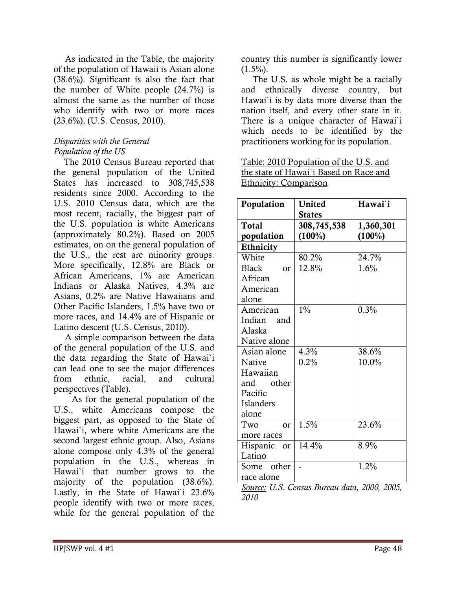As indicated in the Table, the majority of the population of Hawaii is Asian alone (38.6%). Significant is also the fact that the number of White people (24.7%) is almost the same as the number of those who identify with two or more races (23.6%), (U.S. Census, 2010).

### Disparities with the General Population of the US

 The 2010 Census Bureau reported that the general population of the United States has increased to 308,745,538 residents since 2000. According to the U.S. 2010 Census data, which are the most recent, racially, the biggest part of the U.S. population is white Americans (approximately 80.2%). Based on 2005 estimates, on on the general population of the U.S., the rest are minority groups. More specifically, 12.8% are Black or African Americans, 1% are American Indians or Alaska Natives, 4.3% are Asians, 0.2% are Native Hawaiians and Other Pacific Islanders, 1.5% have two or more races, and 14.4% are of Hispanic or Latino descent (U.S. Census, 2010).

 A simple comparison between the data of the general population of the U.S. and the data regarding the State of Hawai`i can lead one to see the major differences from ethnic, racial, and cultural perspectives (Table).

 As for the general population of the U.S., white Americans compose the biggest part, as opposed to the State of Hawai`i, where white Americans are the second largest ethnic group. Also, Asians alone compose only 4.3% of the general population in the U.S., whereas in Hawai`i that number grows to the majority of the population (38.6%). Lastly, in the State of Hawai'i 23.6% people identify with two or more races, while for the general population of the

country this number is significantly lower  $(1.5\%)$ .

 The U.S. as whole might be a racially and ethnically diverse country, but Hawai`i is by data more diverse than the nation itself, and every other state in it. There is a unique character of Hawai`i which needs to be identified by the practitioners working for its population.

Table: 2010 Population of the U.S. and the state of Hawai`i Based on Race and Ethnicity: Comparison

| Population         | United        | Hawai'i   |
|--------------------|---------------|-----------|
|                    | <b>States</b> |           |
| <b>Total</b>       | 308,745,538   | 1,360,301 |
| population         | $(100\%)$     | $(100\%)$ |
| Ethnicity          |               |           |
| White              | 80.2%         | 24.7%     |
| <b>Black</b><br>or | 12.8%         | 1.6%      |
| African            |               |           |
| American           |               |           |
| alone              |               |           |
| American           | $1\%$         | 0.3%      |
| Indian and         |               |           |
| Alaska             |               |           |
| Native alone       |               |           |
| Asian alone        | 4.3%          | 38.6%     |
| Native             | 0.2%          | 10.0%     |
| Hawaiian           |               |           |
| and other          |               |           |
| Pacific            |               |           |
| Islanders          |               |           |
| alone              |               |           |
| Two<br>or          | 1.5%          | 23.6%     |
| more races         |               |           |
| Hispanic<br>or     | 14.4%         | 8.9%      |
| Latino             |               |           |
| Some other         |               | 1.2%      |
| race alone         |               |           |

Source: U.S. Census Bureau data, 2000, 2005, 2010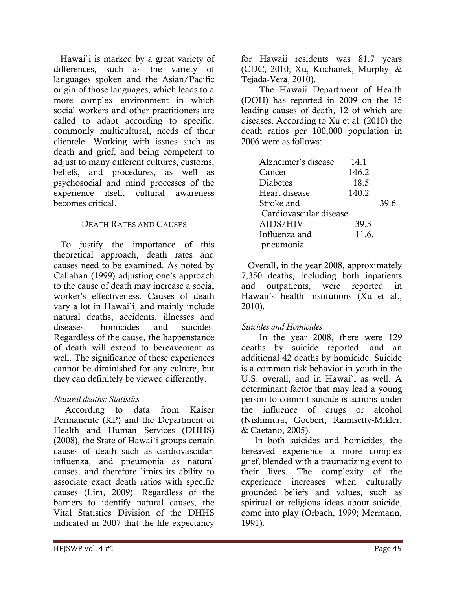Hawai`i is marked by a great variety of differences, such as the variety of languages spoken and the Asian/Pacific origin of those languages, which leads to a more complex environment in which social workers and other practitioners are called to adapt according to specific, commonly multicultural, needs of their clientele. Working with issues such as death and grief, and being competent to adjust to many different cultures, customs, beliefs, and procedures, as well as psychosocial and mind processes of the experience itself, cultural awareness becomes critical.

### DEATH RATES AND CAUSES

To justify the importance of this theoretical approach, death rates and causes need to be examined. As noted by Callahan (1999) adjusting one's approach to the cause of death may increase a social worker's effectiveness. Causes of death vary a lot in Hawai`i, and mainly include natural deaths, accidents, illnesses and diseases, homicides and suicides. Regardless of the cause, the happenstance of death will extend to bereavement as well. The significance of these experiences cannot be diminished for any culture, but they can definitely be viewed differently.

### Natural deaths: Statistics

 According to data from Kaiser Permanente (KP) and the Department of Health and Human Services (DHHS) (2008), the State of Hawai`i groups certain causes of death such as cardiovascular, influenza, and pneumonia as natural causes, and therefore limits its ability to associate exact death ratios with specific causes (Lim, 2009). Regardless of the barriers to identify natural causes, the Vital Statistics Division of the DHHS indicated in 2007 that the life expectancy for Hawaii residents was 81.7 years (CDC, 2010; Xu, Kochanek, Murphy, & Tejada-Vera, 2010).

 The Hawaii Department of Health (DOH) has reported in 2009 on the 15 leading causes of death, 12 of which are diseases. According to Xu et al. (2010) the death ratios per 100,000 population in 2006 were as follows:

| Alzheimer's disease    | 14.1  |      |
|------------------------|-------|------|
| Cancer                 | 146.2 |      |
| <b>Diabetes</b>        | 18.5  |      |
| Heart disease          | 140.2 |      |
| Stroke and             |       | 39.6 |
| Cardiovascular disease |       |      |
| AIDS/HIV               | 39.3  |      |
| Influenza and          | 11.6. |      |
| pneumonia              |       |      |

Overall, in the year 2008, approximately 7,350 deaths, including both inpatients and outpatients, were reported in Hawaii's health institutions (Xu et al., 2010).

### Suicides and Homicides

 In the year 2008, there were 129 deaths by suicide reported, and an additional 42 deaths by homicide. Suicide is a common risk behavior in youth in the U.S. overall, and in Hawai`i as well. A determinant factor that may lead a young person to commit suicide is actions under the influence of drugs or alcohol (Nishimura, Goebert, Ramisetty-Mikler, & Caetano, 2005).

 In both suicides and homicides, the bereaved experience a more complex grief, blended with a traumatizing event to their lives. The complexity of the experience increases when culturally grounded beliefs and values, such as spiritual or religious ideas about suicide, come into play (Orbach, 1999; Mermann, 1991).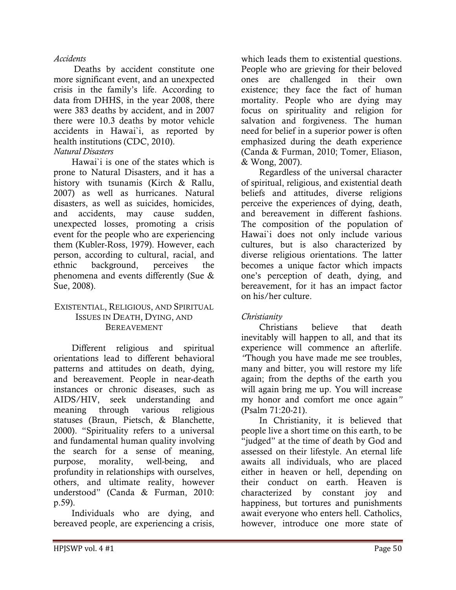#### Accidents

 Deaths by accident constitute one more significant event, and an unexpected crisis in the family's life. According to data from DHHS, in the year 2008, there were 383 deaths by accident, and in 2007 there were 10.3 deaths by motor vehicle accidents in Hawai`i, as reported by health institutions (CDC, 2010).

#### Natural Disasters

 Hawai`i is one of the states which is prone to Natural Disasters, and it has a history with tsunamis (Kirch & Rallu, 2007) as well as hurricanes. Natural disasters, as well as suicides, homicides, and accidents, may cause sudden, unexpected losses, promoting a crisis event for the people who are experiencing them (Kubler-Ross, 1979). However, each person, according to cultural, racial, and ethnic background, perceives the phenomena and events differently (Sue & Sue, 2008).

#### EXISTENTIAL, RELIGIOUS, AND SPIRITUAL ISSUES IN DEATH, DYING, AND BEREAVEMENT

 Different religious and spiritual orientations lead to different behavioral patterns and attitudes on death, dying, and bereavement. People in near-death instances or chronic diseases, such as AIDS/HIV, seek understanding and meaning through various religious statuses (Braun, Pietsch, & Blanchette, 2000). "Spirituality refers to a universal and fundamental human quality involving the search for a sense of meaning, purpose, morality, well-being, and profundity in relationships with ourselves, others, and ultimate reality, however understood" (Canda & Furman, 2010: p.59).

 Individuals who are dying, and bereaved people, are experiencing a crisis,

which leads them to existential questions. People who are grieving for their beloved ones are challenged in their own existence; they face the fact of human mortality. People who are dying may focus on spirituality and religion for salvation and forgiveness. The human need for belief in a superior power is often emphasized during the death experience (Canda & Furman, 2010; Tomer, Eliason, & Wong, 2007).

 Regardless of the universal character of spiritual, religious, and existential death beliefs and attitudes, diverse religions perceive the experiences of dying, death, and bereavement in different fashions. The composition of the population of Hawai`i does not only include various cultures, but is also characterized by diverse religious orientations. The latter becomes a unique factor which impacts one's perception of death, dying, and bereavement, for it has an impact factor on his/her culture.

#### Christianity

 Christians believe that death inevitably will happen to all, and that its experience will commence an afterlife. "Though you have made me see troubles, many and bitter, you will restore my life again; from the depths of the earth you will again bring me up. You will increase my honor and comfort me once again" (Psalm 71:20-21).

 In Christianity, it is believed that people live a short time on this earth, to be "judged" at the time of death by God and assessed on their lifestyle. An eternal life awaits all individuals, who are placed either in heaven or hell, depending on their conduct on earth. Heaven is characterized by constant joy and happiness, but tortures and punishments await everyone who enters hell. Catholics, however, introduce one more state of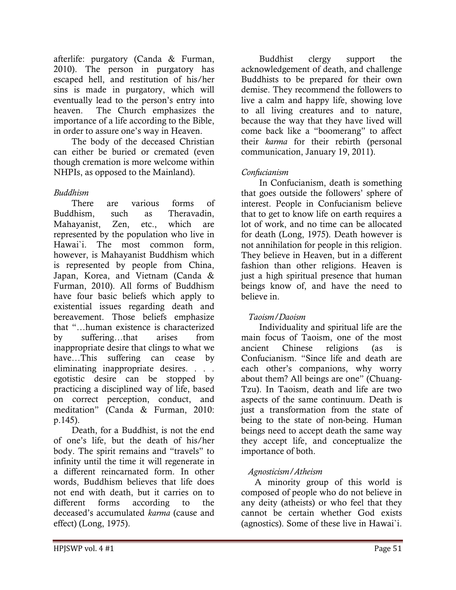afterlife: purgatory (Canda & Furman, 2010). The person in purgatory has escaped hell, and restitution of his/her sins is made in purgatory, which will eventually lead to the person's entry into heaven. The Church emphasizes the importance of a life according to the Bible, in order to assure one's way in Heaven.

 The body of the deceased Christian can either be buried or cremated (even though cremation is more welcome within NHPIs, as opposed to the Mainland).

### Buddhism

 There are various forms of Buddhism, such as Theravadin, Mahayanist, Zen, etc., which are represented by the population who live in Hawai`i. The most common form, however, is Mahayanist Buddhism which is represented by people from China, Japan, Korea, and Vietnam (Canda & Furman, 2010). All forms of Buddhism have four basic beliefs which apply to existential issues regarding death and bereavement. Those beliefs emphasize that "…human existence is characterized by suffering…that arises from inappropriate desire that clings to what we have…This suffering can cease by eliminating inappropriate desires. . . . egotistic desire can be stopped by practicing a disciplined way of life, based on correct perception, conduct, and meditation" (Canda & Furman, 2010: p.145).

 Death, for a Buddhist, is not the end of one's life, but the death of his/her body. The spirit remains and "travels" to infinity until the time it will regenerate in a different reincarnated form. In other words, Buddhism believes that life does not end with death, but it carries on to different forms according to the deceased's accumulated karma (cause and effect) (Long, 1975).

 Buddhist clergy support the acknowledgement of death, and challenge Buddhists to be prepared for their own demise. They recommend the followers to live a calm and happy life, showing love to all living creatures and to nature, because the way that they have lived will come back like a "boomerang" to affect their karma for their rebirth (personal communication, January 19, 2011).

## Confucianism

 In Confucianism, death is something that goes outside the followers' sphere of interest. People in Confucianism believe that to get to know life on earth requires a lot of work, and no time can be allocated for death (Long, 1975). Death however is not annihilation for people in this religion. They believe in Heaven, but in a different fashion than other religions. Heaven is just a high spiritual presence that human beings know of, and have the need to believe in.

### Taoism/Daoism

 Individuality and spiritual life are the main focus of Taoism, one of the most ancient Chinese religions (as is Confucianism. "Since life and death are each other's companions, why worry about them? All beings are one" (Chuang-Tzu). In Taoism, death and life are two aspects of the same continuum. Death is just a transformation from the state of being to the state of non-being. Human beings need to accept death the same way they accept life, and conceptualize the importance of both.

### Agnosticism/Atheism

 A minority group of this world is composed of people who do not believe in any deity (atheists) or who feel that they cannot be certain whether God exists (agnostics). Some of these live in Hawai`i.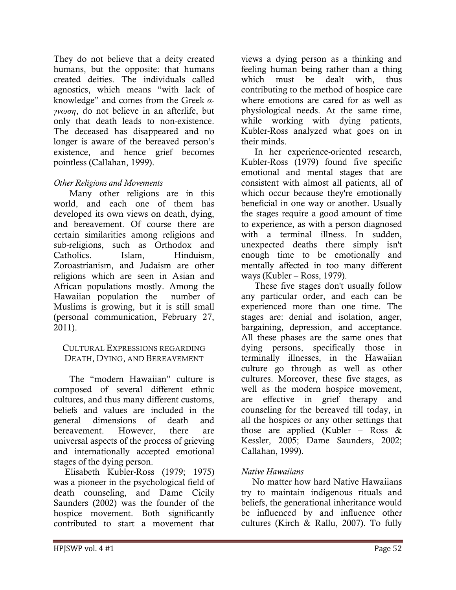They do not believe that a deity created humans, but the opposite: that humans created deities. The individuals called agnostics, which means "with lack of knowledge" and comes from the Greek  $\alpha$ γνωση, do not believe in an afterlife, but only that death leads to non-existence. The deceased has disappeared and no longer is aware of the bereaved person's existence, and hence grief becomes pointless (Callahan, 1999).

### Other Religions and Movements

 Many other religions are in this world, and each one of them has developed its own views on death, dying, and bereavement. Of course there are certain similarities among religions and sub-religions, such as Orthodox and Catholics. Islam, Hinduism, Zoroastrianism, and Judaism are other religions which are seen in Asian and African populations mostly. Among the Hawaiian population the number of Muslims is growing, but it is still small (personal communication, February 27, 2011).

#### CULTURAL EXPRESSIONS REGARDING DEATH, DYING, AND BEREAVEMENT

 The "modern Hawaiian" culture is composed of several different ethnic cultures, and thus many different customs, beliefs and values are included in the general dimensions of death and bereavement. However, there are universal aspects of the process of grieving and internationally accepted emotional stages of the dying person.

 Elisabeth Kubler-Ross (1979; 1975) was a pioneer in the psychological field of death counseling, and Dame Cicily Saunders (2002) was the founder of the hospice movement. Both significantly contributed to start a movement that

views a dying person as a thinking and feeling human being rather than a thing which must be dealt with, thus contributing to the method of hospice care where emotions are cared for as well as physiological needs. At the same time, while working with dying patients, Kubler-Ross analyzed what goes on in their minds.

 In her experience-oriented research, Kubler-Ross (1979) found five specific emotional and mental stages that are consistent with almost all patients, all of which occur because they're emotionally beneficial in one way or another. Usually the stages require a good amount of time to experience, as with a person diagnosed with a terminal illness. In sudden, unexpected deaths there simply isn't enough time to be emotionally and mentally affected in too many different ways (Kubler – Ross, 1979).

 These five stages don't usually follow any particular order, and each can be experienced more than one time. The stages are: denial and isolation, anger, bargaining, depression, and acceptance. All these phases are the same ones that dying persons, specifically those in terminally illnesses, in the Hawaiian culture go through as well as other cultures. Moreover, these five stages, as well as the modern hospice movement, are effective in grief therapy and counseling for the bereaved till today, in all the hospices or any other settings that those are applied (Kubler – Ross  $\&$ Kessler, 2005; Dame Saunders, 2002; Callahan, 1999).

### Native Hawaiians

 No matter how hard Native Hawaiians try to maintain indigenous rituals and beliefs, the generational inheritance would be influenced by and influence other cultures (Kirch & Rallu, 2007). To fully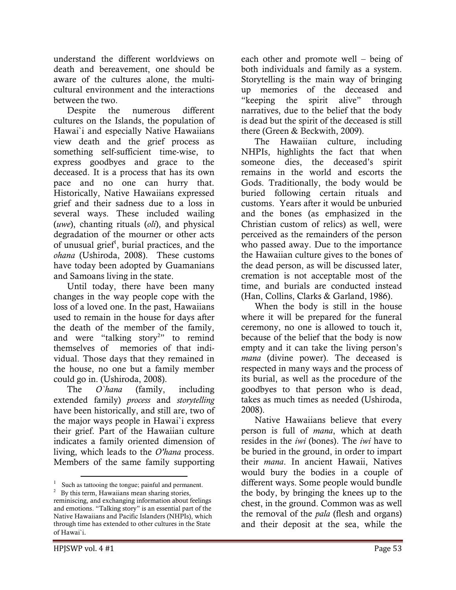understand the different worldviews on death and bereavement, one should be aware of the cultures alone, the multicultural environment and the interactions between the two.

 Despite the numerous different cultures on the Islands, the population of Hawai`i and especially Native Hawaiians view death and the grief process as something self-sufficient time-wise, to express goodbyes and grace to the deceased. It is a process that has its own pace and no one can hurry that. Historically, Native Hawaiians expressed grief and their sadness due to a loss in several ways. These included wailing  $(uwe)$ , chanting rituals  $\text{(oli)}$ , and physical degradation of the mourner or other acts of unusual grief<sup>1</sup>, burial practices, and the ohana (Ushiroda, 2008). These customs have today been adopted by Guamanians and Samoans living in the state.

 Until today, there have been many changes in the way people cope with the loss of a loved one. In the past, Hawaiians used to remain in the house for days after the death of the member of the family, and were "talking story<sup>2</sup>" to remind themselves of memories of that individual. Those days that they remained in the house, no one but a family member could go in. (Ushiroda, 2008).

The *O'hana* (family, including extended family) process and storytelling have been historically, and still are, two of the major ways people in Hawai`i express their grief. Part of the Hawaiian culture indicates a family oriented dimension of living, which leads to the O'hana process. Members of the same family supporting

each other and promote well – being of both individuals and family as a system. Storytelling is the main way of bringing up memories of the deceased and "keeping the spirit alive" through narratives, due to the belief that the body is dead but the spirit of the deceased is still there (Green & Beckwith, 2009).

 The Hawaiian culture, including NHPIs, highlights the fact that when someone dies, the deceased's spirit remains in the world and escorts the Gods. Traditionally, the body would be buried following certain rituals and customs. Years after it would be unburied and the bones (as emphasized in the Christian custom of relics) as well, were perceived as the remainders of the person who passed away. Due to the importance the Hawaiian culture gives to the bones of the dead person, as will be discussed later, cremation is not acceptable most of the time, and burials are conducted instead (Han, Collins, Clarks & Garland, 1986).

 When the body is still in the house where it will be prepared for the funeral ceremony, no one is allowed to touch it, because of the belief that the body is now empty and it can take the living person's mana (divine power). The deceased is respected in many ways and the process of its burial, as well as the procedure of the goodbyes to that person who is dead, takes as much times as needed (Ushiroda, 2008).

 Native Hawaiians believe that every person is full of mana, which at death resides in the *iwi* (bones). The *iwi* have to be buried in the ground, in order to impart their mana. In ancient Hawaii, Natives would bury the bodies in a couple of different ways. Some people would bundle the body, by bringing the knees up to the chest, in the ground. Common was as well the removal of the pala (flesh and organs) and their deposit at the sea, while the

 $1$  Such as tattooing the tongue; painful and permanent.

 $2^2$  By this term, Hawaiians mean sharing stories, reminiscing, and exchanging information about feelings and emotions. "Talking story" is an essential part of the Native Hawaiians and Pacific Islanders (NHPIs), which through time has extended to other cultures in the State of Hawai`i.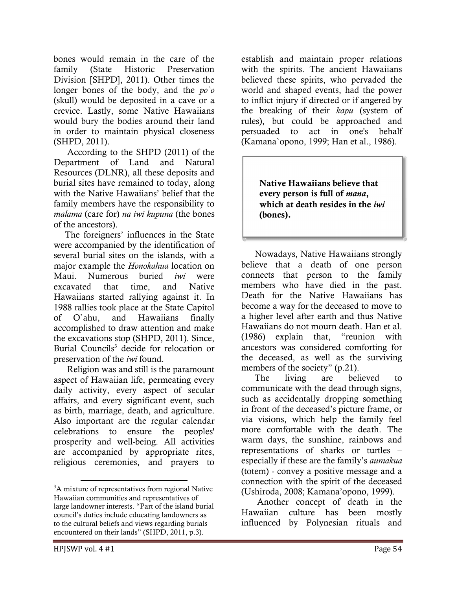bones would remain in the care of the family (State Historic Preservation Division [SHPD], 2011). Other times the longer bones of the body, and the  $po$ <sup>o</sup> (skull) would be deposited in a cave or a crevice. Lastly, some Native Hawaiians would bury the bodies around their land in order to maintain physical closeness (SHPD, 2011).

 According to the SHPD (2011) of the Department of Land and Natural Resources (DLNR), all these deposits and burial sites have remained to today, along with the Native Hawaiians' belief that the family members have the responsibility to malama (care for) na iwi kupuna (the bones of the ancestors).

 The foreigners' influences in the State were accompanied by the identification of several burial sites on the islands, with a major example the Honokahua location on Maui. Numerous buried iwi were excavated that time, and Native Hawaiians started rallying against it. In 1988 rallies took place at the State Capitol of O`ahu, and Hawaiians finally accomplished to draw attention and make the excavations stop (SHPD, 2011). Since, Burial Councils<sup>3</sup> decide for relocation or preservation of the iwi found.

 Religion was and still is the paramount aspect of Hawaiian life, permeating every daily activity, every aspect of secular affairs, and every significant event, such as birth, marriage, death, and agriculture. Also important are the regular calendar celebrations to ensure the peoples' prosperity and well-being. All activities are accompanied by appropriate rites, religious ceremonies, and prayers to

establish and maintain proper relations with the spirits. The ancient Hawaiians believed these spirits, who pervaded the world and shaped events, had the power to inflict injury if directed or if angered by the breaking of their kapu (system of rules), but could be approached and persuaded to act in one's behalf (Kamana`opono, 1999; Han et al., 1986).

> Native Hawaiians believe that every person is full of mana, which at death resides in the *iwi* (bones).

 Nowadays, Native Hawaiians strongly believe that a death of one person connects that person to the family members who have died in the past. Death for the Native Hawaiians has become a way for the deceased to move to a higher level after earth and thus Native Hawaiians do not mourn death. Han et al. (1986) explain that, "reunion with ancestors was considered comforting for the deceased, as well as the surviving members of the society" (p.21).

 The living are believed to communicate with the dead through signs, such as accidentally dropping something in front of the deceased's picture frame, or via visions, which help the family feel more comfortable with the death. The warm days, the sunshine, rainbows and representations of sharks or turtles – especially if these are the family's aumakua (totem) - convey a positive message and a connection with the spirit of the deceased (Ushiroda, 2008; Kamana'opono, 1999).

 Another concept of death in the Hawaiian culture has been mostly influenced by Polynesian rituals and

<sup>&</sup>lt;sup>3</sup>A mixture of representatives from regional Native Hawaiian communities and representatives of large landowner interests. "Part of the island burial council's duties include educating landowners as to the cultural beliefs and views regarding burials encountered on their lands" (SHPD, 2011, p.3).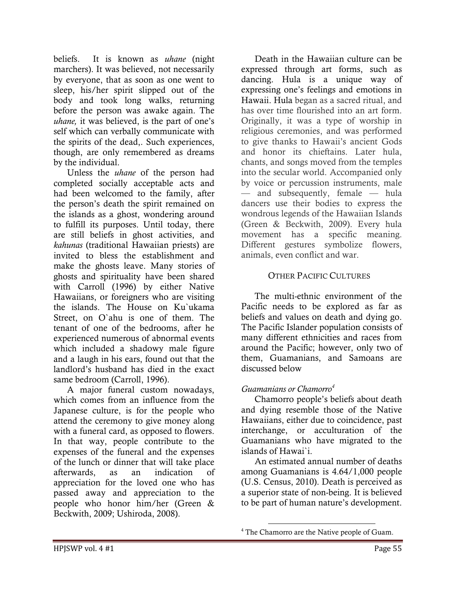beliefs. It is known as *uhane* (night marchers). It was believed, not necessarily by everyone, that as soon as one went to sleep, his/her spirit slipped out of the body and took long walks, returning before the person was awake again. The uhane, it was believed, is the part of one's self which can verbally communicate with the spirits of the dead,. Such experiences, though, are only remembered as dreams by the individual.

 Unless the uhane of the person had completed socially acceptable acts and had been welcomed to the family, after the person's death the spirit remained on the islands as a ghost, wondering around to fulfill its purposes. Until today, there are still beliefs in ghost activities, and kahunas (traditional Hawaiian priests) are invited to bless the establishment and make the ghosts leave. Many stories of ghosts and spirituality have been shared with Carroll (1996) by either Native Hawaiians, or foreigners who are visiting the islands. The House on Ku`ukama Street, on O`ahu is one of them. The tenant of one of the bedrooms, after he experienced numerous of abnormal events which included a shadowy male figure and a laugh in his ears, found out that the landlord's husband has died in the exact same bedroom (Carroll, 1996).

 A major funeral custom nowadays, which comes from an influence from the Japanese culture, is for the people who attend the ceremony to give money along with a funeral card, as opposed to flowers. In that way, people contribute to the expenses of the funeral and the expenses of the lunch or dinner that will take place afterwards, as an indication of appreciation for the loved one who has passed away and appreciation to the people who honor him/her (Green & Beckwith, 2009; Ushiroda, 2008).

 Death in the Hawaiian culture can be expressed through art forms, such as dancing. Hula is a unique way of expressing one's feelings and emotions in Hawaii. Hula began as a sacred ritual, and has over time flourished into an art form. Originally, it was a type of worship in religious ceremonies, and was performed to give thanks to Hawaii's ancient Gods and honor its chieftains. Later hula, chants, and songs moved from the temples into the secular world. Accompanied only by voice or percussion instruments, male — and subsequently, female — hula dancers use their bodies to express the wondrous legends of the Hawaiian Islands (Green & Beckwith, 2009). Every hula movement has a specific meaning. Different gestures symbolize flowers, animals, even conflict and war.

### OTHER PACIFIC CULTURES

 The multi-ethnic environment of the Pacific needs to be explored as far as beliefs and values on death and dying go. The Pacific Islander population consists of many different ethnicities and races from around the Pacific; however, only two of them, Guamanians, and Samoans are discussed below

### Guamanians or Chamorro<sup>4</sup>

 $\overline{a}$ 

 Chamorro people's beliefs about death and dying resemble those of the Native Hawaiians, either due to coincidence, past interchange, or acculturation of the Guamanians who have migrated to the islands of Hawai`i.

 An estimated annual number of deaths among Guamanians is 4.64/1,000 people (U.S. Census, 2010). Death is perceived as a superior state of non-being. It is believed to be part of human nature's development.

<sup>&</sup>lt;sup>4</sup> The Chamorro are the Native people of Guam.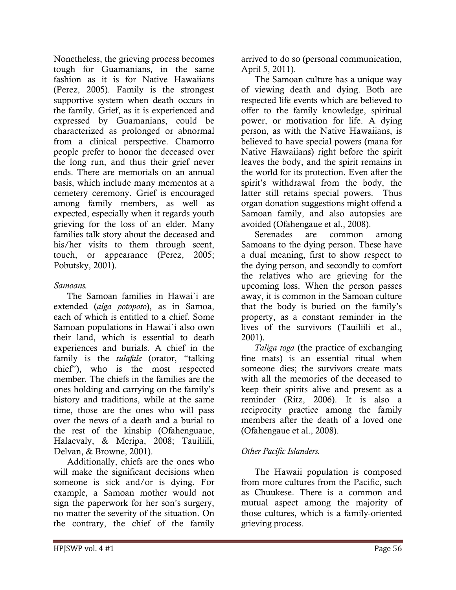Nonetheless, the grieving process becomes tough for Guamanians, in the same fashion as it is for Native Hawaiians (Perez, 2005). Family is the strongest supportive system when death occurs in the family. Grief, as it is experienced and expressed by Guamanians, could be characterized as prolonged or abnormal from a clinical perspective. Chamorro people prefer to honor the deceased over the long run, and thus their grief never ends. There are memorials on an annual basis, which include many mementos at a cemetery ceremony. Grief is encouraged among family members, as well as expected, especially when it regards youth grieving for the loss of an elder. Many families talk story about the deceased and his/her visits to them through scent, touch, or appearance (Perez, 2005; Pobutsky, 2001).

### Samoans.

 The Samoan families in Hawai`i are extended (aiga potopoto), as in Samoa, each of which is entitled to a chief. Some Samoan populations in Hawai`i also own their land, which is essential to death experiences and burials. A chief in the family is the *tulafale* (orator, "talking chief"), who is the most respected member. The chiefs in the families are the ones holding and carrying on the family's history and traditions, while at the same time, those are the ones who will pass over the news of a death and a burial to the rest of the kinship (Ofahenguaue, Halaevaly, & Meripa, 2008; Tauiliili, Delvan, & Browne, 2001).

 Additionally, chiefs are the ones who will make the significant decisions when someone is sick and/or is dying. For example, a Samoan mother would not sign the paperwork for her son's surgery, no matter the severity of the situation. On the contrary, the chief of the family

arrived to do so (personal communication, April 5, 2011).

 The Samoan culture has a unique way of viewing death and dying. Both are respected life events which are believed to offer to the family knowledge, spiritual power, or motivation for life. A dying person, as with the Native Hawaiians, is believed to have special powers (mana for Native Hawaiians) right before the spirit leaves the body, and the spirit remains in the world for its protection. Even after the spirit's withdrawal from the body, the latter still retains special powers. Thus organ donation suggestions might offend a Samoan family, and also autopsies are avoided (Ofahengaue et al., 2008).

 Serenades are common among Samoans to the dying person. These have a dual meaning, first to show respect to the dying person, and secondly to comfort the relatives who are grieving for the upcoming loss. When the person passes away, it is common in the Samoan culture that the body is buried on the family's property, as a constant reminder in the lives of the survivors (Tauiliili et al., 2001).

 Taliga toga (the practice of exchanging fine mats) is an essential ritual when someone dies; the survivors create mats with all the memories of the deceased to keep their spirits alive and present as a reminder (Ritz, 2006). It is also a reciprocity practice among the family members after the death of a loved one (Ofahengaue et al., 2008).

## Other Pacific Islanders.

 The Hawaii population is composed from more cultures from the Pacific, such as Chuukese. There is a common and mutual aspect among the majority of those cultures, which is a family-oriented grieving process.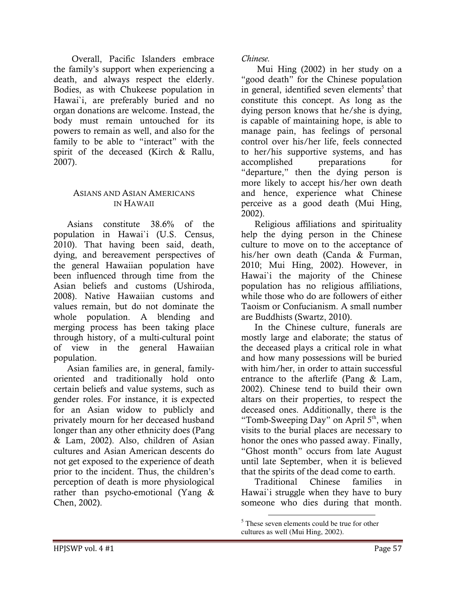Overall, Pacific Islanders embrace the family's support when experiencing a death, and always respect the elderly. Bodies, as with Chukeese population in Hawai`i, are preferably buried and no organ donations are welcome. Instead, the body must remain untouched for its powers to remain as well, and also for the family to be able to "interact" with the spirit of the deceased (Kirch & Rallu, 2007).

#### ASIANS AND ASIAN AMERICANS IN HAWAII

 Asians constitute 38.6% of the population in Hawai`i (U.S. Census, 2010). That having been said, death, dying, and bereavement perspectives of the general Hawaiian population have been influenced through time from the Asian beliefs and customs (Ushiroda, 2008). Native Hawaiian customs and values remain, but do not dominate the whole population. A blending and merging process has been taking place through history, of a multi-cultural point of view in the general Hawaiian population.

 Asian families are, in general, familyoriented and traditionally hold onto certain beliefs and value systems, such as gender roles. For instance, it is expected for an Asian widow to publicly and privately mourn for her deceased husband longer than any other ethnicity does (Pang & Lam, 2002). Also, children of Asian cultures and Asian American descents do not get exposed to the experience of death prior to the incident. Thus, the children's perception of death is more physiological rather than psycho-emotional (Yang & Chen, 2002).

Chinese.

 Mui Hing (2002) in her study on a "good death" for the Chinese population in general, identified seven elements<sup>5</sup> that constitute this concept. As long as the dying person knows that he/she is dying, is capable of maintaining hope, is able to manage pain, has feelings of personal control over his/her life, feels connected to her/his supportive systems, and has accomplished preparations for "departure," then the dying person is more likely to accept his/her own death and hence, experience what Chinese perceive as a good death (Mui Hing, 2002).

 Religious affiliations and spirituality help the dying person in the Chinese culture to move on to the acceptance of his/her own death (Canda & Furman, 2010; Mui Hing, 2002). However, in Hawai`i the majority of the Chinese population has no religious affiliations, while those who do are followers of either Taoism or Confucianism. A small number are Buddhists (Swartz, 2010).

 In the Chinese culture, funerals are mostly large and elaborate; the status of the deceased plays a critical role in what and how many possessions will be buried with him/her, in order to attain successful entrance to the afterlife (Pang & Lam, 2002). Chinese tend to build their own altars on their properties, to respect the deceased ones. Additionally, there is the "Tomb-Sweeping Day" on April  $5<sup>th</sup>$ , when visits to the burial places are necessary to honor the ones who passed away. Finally, "Ghost month" occurs from late August until late September, when it is believed that the spirits of the dead come to earth.

Traditional Chinese families Hawai`i struggle when they have to bury someone who dies during that month.

<sup>&</sup>lt;sup>5</sup> These seven elements could be true for other cultures as well (Mui Hing, 2002).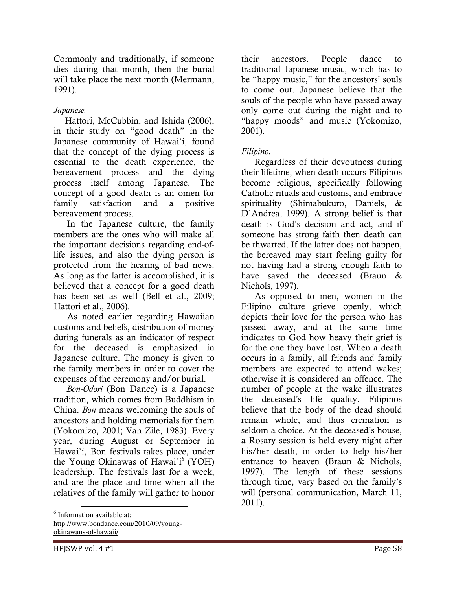Commonly and traditionally, if someone dies during that month, then the burial will take place the next month (Mermann, 1991).

## Japanese.

 Hattori, McCubbin, and Ishida (2006), in their study on "good death" in the Japanese community of Hawai`i, found that the concept of the dying process is essential to the death experience, the bereavement process and the dying process itself among Japanese. The concept of a good death is an omen for family satisfaction and a positive bereavement process.

 In the Japanese culture, the family members are the ones who will make all the important decisions regarding end-oflife issues, and also the dying person is protected from the hearing of bad news. As long as the latter is accomplished, it is believed that a concept for a good death has been set as well (Bell et al., 2009; Hattori et al., 2006).

 As noted earlier regarding Hawaiian customs and beliefs, distribution of money during funerals as an indicator of respect for the deceased is emphasized in Japanese culture. The money is given to the family members in order to cover the expenses of the ceremony and/or burial.

 Bon-Odori (Bon Dance) is a Japanese tradition, which comes from Buddhism in China. Bon means welcoming the souls of ancestors and holding memorials for them (Yokomizo, 2001; Van Zile, 1983). Every year, during August or September in Hawai`i, Bon festivals takes place, under the Young Okinawas of Hawai`i<sup>6</sup> (YOH) leadership. The festivals last for a week, and are the place and time when all the relatives of the family will gather to honor

6 Information available at:

http://www.bondance.com/2010/09/youngokinawans-of-hawaii/

their ancestors. People dance to traditional Japanese music, which has to be "happy music," for the ancestors' souls to come out. Japanese believe that the souls of the people who have passed away only come out during the night and to "happy moods" and music (Yokomizo, 2001).

## Filipino.

 Regardless of their devoutness during their lifetime, when death occurs Filipinos become religious, specifically following Catholic rituals and customs, and embrace spirituality (Shimabukuro, Daniels, & D`Andrea, 1999). A strong belief is that death is God's decision and act, and if someone has strong faith then death can be thwarted. If the latter does not happen, the bereaved may start feeling guilty for not having had a strong enough faith to have saved the deceased (Braun & Nichols, 1997).

 As opposed to men, women in the Filipino culture grieve openly, which depicts their love for the person who has passed away, and at the same time indicates to God how heavy their grief is for the one they have lost. When a death occurs in a family, all friends and family members are expected to attend wakes; otherwise it is considered an offence. The number of people at the wake illustrates the deceased's life quality. Filipinos believe that the body of the dead should remain whole, and thus cremation is seldom a choice. At the deceased's house, a Rosary session is held every night after his/her death, in order to help his/her entrance to heaven (Braun & Nichols, 1997). The length of these sessions through time, vary based on the family's will (personal communication, March 11, 2011).

l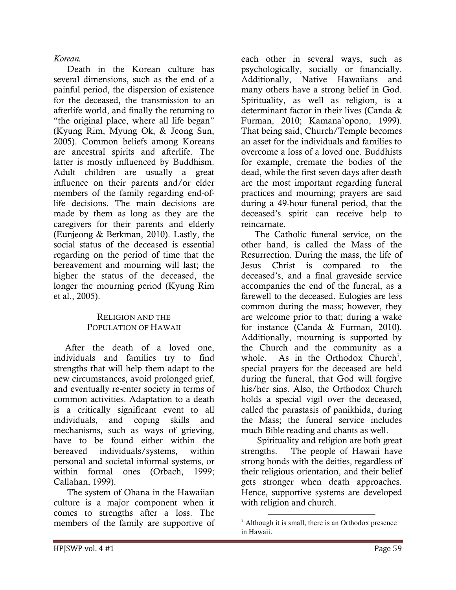#### Korean.

 Death in the Korean culture has several dimensions, such as the end of a painful period, the dispersion of existence for the deceased, the transmission to an afterlife world, and finally the returning to "the original place, where all life began" (Kyung Rim, Myung Ok, & Jeong Sun, 2005). Common beliefs among Koreans are ancestral spirits and afterlife. The latter is mostly influenced by Buddhism. Adult children are usually a great influence on their parents and/or elder members of the family regarding end-oflife decisions. The main decisions are made by them as long as they are the caregivers for their parents and elderly (Eunjeong & Berkman, 2010). Lastly, the social status of the deceased is essential regarding on the period of time that the bereavement and mourning will last; the higher the status of the deceased, the longer the mourning period (Kyung Rim et al., 2005).

#### RELIGION AND THE POPULATION OF HAWAII

 After the death of a loved one, individuals and families try to find strengths that will help them adapt to the new circumstances, avoid prolonged grief, and eventually re-enter society in terms of common activities. Adaptation to a death is a critically significant event to all individuals, and coping skills and mechanisms, such as ways of grieving, have to be found either within the bereaved individuals/systems, within personal and societal informal systems, or within formal ones (Orbach, 1999; Callahan, 1999).

 The system of Ohana in the Hawaiian culture is a major component when it comes to strengths after a loss. The members of the family are supportive of

each other in several ways, such as psychologically, socially or financially. Additionally, Native Hawaiians and many others have a strong belief in God. Spirituality, as well as religion, is a determinant factor in their lives (Canda & Furman, 2010; Kamana`opono, 1999). That being said, Church/Temple becomes an asset for the individuals and families to overcome a loss of a loved one. Buddhists for example, cremate the bodies of the dead, while the first seven days after death are the most important regarding funeral practices and mourning; prayers are said during a 49-hour funeral period, that the deceased's spirit can receive help to reincarnate.

 The Catholic funeral service, on the other hand, is called the Mass of the Resurrection. During the mass, the life of Jesus Christ is compared to the deceased's, and a final graveside service accompanies the end of the funeral, as a farewell to the deceased. Eulogies are less common during the mass; however, they are welcome prior to that; during a wake for instance (Canda & Furman, 2010). Additionally, mourning is supported by the Church and the community as a whole. As in the Orthodox Church<sup>7</sup>, special prayers for the deceased are held during the funeral, that God will forgive his/her sins. Also, the Orthodox Church holds a special vigil over the deceased, called the parastasis of panikhida, during the Mass; the funeral service includes much Bible reading and chants as well.

 Spirituality and religion are both great strengths. The people of Hawaii have strong bonds with the deities, regardless of their religious orientation, and their belief gets stronger when death approaches. Hence, supportive systems are developed with religion and church.

 $<sup>7</sup>$  Although it is small, there is an Orthodox presence</sup> in Hawaii.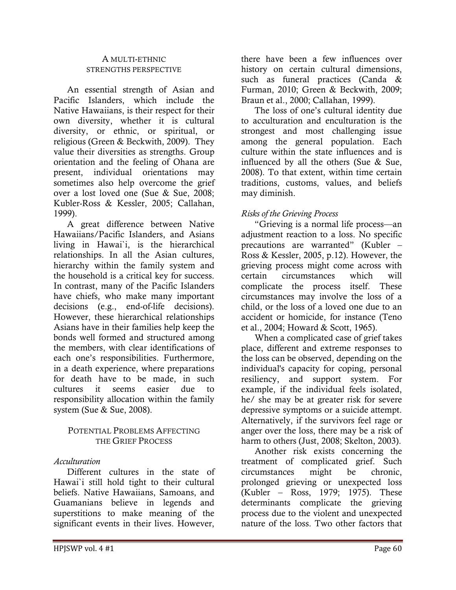#### A MULTI-ETHNIC STRENGTHS PERSPECTIVE

 An essential strength of Asian and Pacific Islanders, which include the Native Hawaiians, is their respect for their own diversity, whether it is cultural diversity, or ethnic, or spiritual, or religious (Green & Beckwith, 2009). They value their diversities as strengths. Group orientation and the feeling of Ohana are present, individual orientations may sometimes also help overcome the grief over a lost loved one (Sue & Sue, 2008; Kubler-Ross & Kessler, 2005; Callahan, 1999).

 A great difference between Native Hawaiians/Pacific Islanders, and Asians living in Hawai`i, is the hierarchical relationships. In all the Asian cultures, hierarchy within the family system and the household is a critical key for success. In contrast, many of the Pacific Islanders have chiefs, who make many important decisions (e.g., end-of-life decisions). However, these hierarchical relationships Asians have in their families help keep the bonds well formed and structured among the members, with clear identifications of each one's responsibilities. Furthermore, in a death experience, where preparations for death have to be made, in such cultures it seems easier due to responsibility allocation within the family system (Sue & Sue, 2008).

#### POTENTIAL PROBLEMS AFFECTING THE GRIEF PROCESS

#### Acculturation

 Different cultures in the state of Hawai`i still hold tight to their cultural beliefs. Native Hawaiians, Samoans, and Guamanians believe in legends and superstitions to make meaning of the significant events in their lives. However,

there have been a few influences over history on certain cultural dimensions, such as funeral practices (Canda & Furman, 2010; Green & Beckwith, 2009; Braun et al., 2000; Callahan, 1999).

 The loss of one's cultural identity due to acculturation and enculturation is the strongest and most challenging issue among the general population. Each culture within the state influences and is influenced by all the others (Sue & Sue, 2008). To that extent, within time certain traditions, customs, values, and beliefs may diminish.

#### Risks of the Grieving Process

 "Grieving is a normal life process—an adjustment reaction to a loss. No specific precautions are warranted" (Kubler – Ross & Kessler, 2005, p.12). However, the grieving process might come across with certain circumstances which will complicate the process itself. These circumstances may involve the loss of a child, or the loss of a loved one due to an accident or homicide, for instance (Teno et al., 2004; Howard & Scott, 1965).

 When a complicated case of grief takes place, different and extreme responses to the loss can be observed, depending on the individual's capacity for coping, personal resiliency, and support system. For example, if the individual feels isolated, he/ she may be at greater risk for severe depressive symptoms or a suicide attempt. Alternatively, if the survivors feel rage or anger over the loss, there may be a risk of harm to others (Just, 2008; Skelton, 2003).

 Another risk exists concerning the treatment of complicated grief. Such circumstances might be chronic, prolonged grieving or unexpected loss (Kubler – Ross, 1979; 1975). These determinants complicate the grieving process due to the violent and unexpected nature of the loss. Two other factors that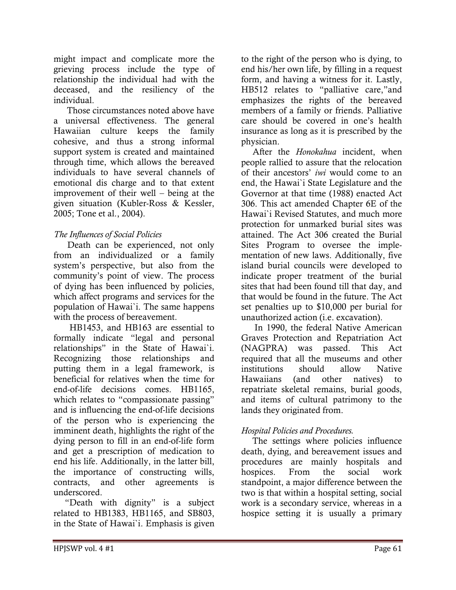might impact and complicate more the grieving process include the type of relationship the individual had with the deceased, and the resiliency of the individual.

 Those circumstances noted above have a universal effectiveness. The general Hawaiian culture keeps the family cohesive, and thus a strong informal support system is created and maintained through time, which allows the bereaved individuals to have several channels of emotional dis charge and to that extent improvement of their well – being at the given situation (Kubler-Ross & Kessler, 2005; Tone et al., 2004).

## The Influences of Social Policies

 Death can be experienced, not only from an individualized or a family system's perspective, but also from the community's point of view. The process of dying has been influenced by policies, which affect programs and services for the population of Hawai`i. The same happens with the process of bereavement.

 HB1453, and HB163 are essential to formally indicate "legal and personal relationships" in the State of Hawai`i. Recognizing those relationships and putting them in a legal framework, is beneficial for relatives when the time for end-of-life decisions comes. HB1165, which relates to "compassionate passing" and is influencing the end-of-life decisions of the person who is experiencing the imminent death, highlights the right of the dying person to fill in an end-of-life form and get a prescription of medication to end his life. Additionally, in the latter bill, the importance of constructing wills, contracts, and other agreements is underscored.

 "Death with dignity" is a subject related to HB1383, HB1165, and SB803, in the State of Hawai`i. Emphasis is given

to the right of the person who is dying, to end his/her own life, by filling in a request form, and having a witness for it. Lastly, HB512 relates to "palliative care,"and emphasizes the rights of the bereaved members of a family or friends. Palliative care should be covered in one's health insurance as long as it is prescribed by the physician.

After the *Honokahua* incident, when people rallied to assure that the relocation of their ancestors' iwi would come to an end, the Hawai`i State Legislature and the Governor at that time (1988) enacted Act 306. This act amended Chapter 6E of the Hawai`i Revised Statutes, and much more protection for unmarked burial sites was attained. The Act 306 created the Burial Sites Program to oversee the implementation of new laws. Additionally, five island burial councils were developed to indicate proper treatment of the burial sites that had been found till that day, and that would be found in the future. The Act set penalties up to \$10,000 per burial for unauthorized action (i.e. excavation).

 In 1990, the federal Native American Graves Protection and Repatriation Act (NAGPRA) was passed. This Act required that all the museums and other institutions should allow Native Hawaiians (and other natives) to repatriate skeletal remains, burial goods, and items of cultural patrimony to the lands they originated from.

### Hospital Policies and Procedures.

 The settings where policies influence death, dying, and bereavement issues and procedures are mainly hospitals and hospices. From the social work standpoint, a major difference between the two is that within a hospital setting, social work is a secondary service, whereas in a hospice setting it is usually a primary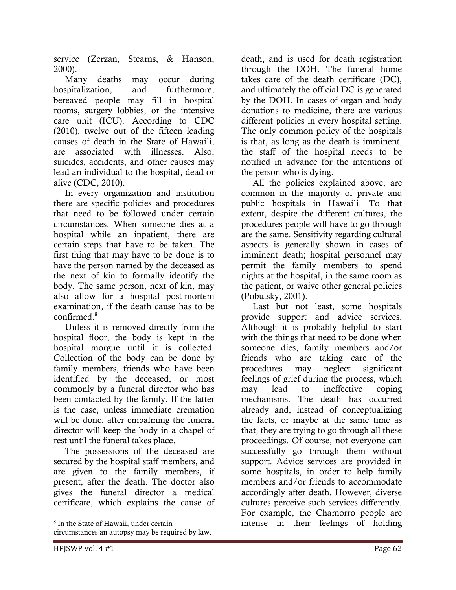service (Zerzan, Stearns, & Hanson, 2000).

 Many deaths may occur during hospitalization, and furthermore, bereaved people may fill in hospital rooms, surgery lobbies, or the intensive care unit (ICU). According to CDC (2010), twelve out of the fifteen leading causes of death in the State of Hawai`i, are associated with illnesses. Also, suicides, accidents, and other causes may lead an individual to the hospital, dead or alive (CDC, 2010).

 In every organization and institution there are specific policies and procedures that need to be followed under certain circumstances. When someone dies at a hospital while an inpatient, there are certain steps that have to be taken. The first thing that may have to be done is to have the person named by the deceased as the next of kin to formally identify the body. The same person, next of kin, may also allow for a hospital post-mortem examination, if the death cause has to be confirmed.<sup>8</sup>

 Unless it is removed directly from the hospital floor, the body is kept in the hospital morgue until it is collected. Collection of the body can be done by family members, friends who have been identified by the deceased, or most commonly by a funeral director who has been contacted by the family. If the latter is the case, unless immediate cremation will be done, after embalming the funeral director will keep the body in a chapel of rest until the funeral takes place.

 The possessions of the deceased are secured by the hospital staff members, and are given to the family members, if present, after the death. The doctor also gives the funeral director a medical certificate, which explains the cause of

death, and is used for death registration through the DOH. The funeral home takes care of the death certificate (DC), and ultimately the official DC is generated by the DOH. In cases of organ and body donations to medicine, there are various different policies in every hospital setting. The only common policy of the hospitals is that, as long as the death is imminent, the staff of the hospital needs to be notified in advance for the intentions of the person who is dying.

 All the policies explained above, are common in the majority of private and public hospitals in Hawai`i. To that extent, despite the different cultures, the procedures people will have to go through are the same. Sensitivity regarding cultural aspects is generally shown in cases of imminent death; hospital personnel may permit the family members to spend nights at the hospital, in the same room as the patient, or waive other general policies (Pobutsky, 2001).

 Last but not least, some hospitals provide support and advice services. Although it is probably helpful to start with the things that need to be done when someone dies, family members and/or friends who are taking care of the procedures may neglect significant feelings of grief during the process, which may lead to ineffective coping mechanisms. The death has occurred already and, instead of conceptualizing the facts, or maybe at the same time as that, they are trying to go through all these proceedings. Of course, not everyone can successfully go through them without support. Advice services are provided in some hospitals, in order to help family members and/or friends to accommodate accordingly after death. However, diverse cultures perceive such services differently. For example, the Chamorro people are intense in their feelings of holding

<sup>8</sup> In the State of Hawaii, under certain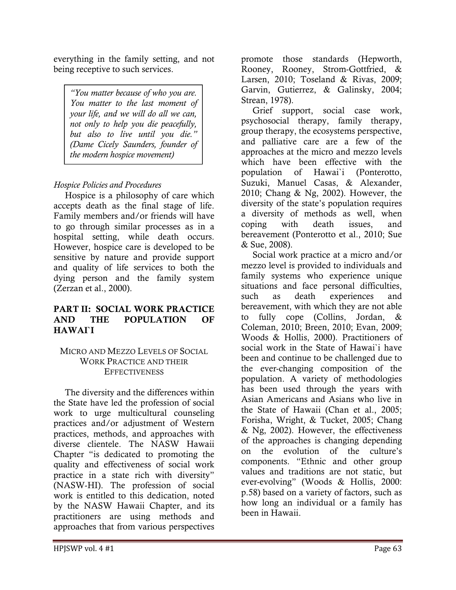everything in the family setting, and not being receptive to such services.

"You matter because of who you are. You matter to the last moment of your life, and we will do all we can, not only to help you die peacefully, but also to live until you die." (Dame Cicely Saunders, founder of the modern hospice movement)

## Hospice Policies and Procedures

 Hospice is a philosophy of care which accepts death as the final stage of life. Family members and/or friends will have to go through similar processes as in a hospital setting, while death occurs. However, hospice care is developed to be sensitive by nature and provide support and quality of life services to both the dying person and the family system (Zerzan et al., 2000).

#### PART II: SOCIAL WORK PRACTICE AND THE POPULATION OF HAWAI`I

#### MICRO AND MEZZO LEVELS OF SOCIAL WORK PRACTICE AND THEIR **EFFECTIVENESS**

 The diversity and the differences within the State have led the profession of social work to urge multicultural counseling practices and/or adjustment of Western practices, methods, and approaches with diverse clientele. The NASW Hawaii Chapter "is dedicated to promoting the quality and effectiveness of social work practice in a state rich with diversity" (NASW-HI). The profession of social work is entitled to this dedication, noted by the NASW Hawaii Chapter, and its practitioners are using methods and approaches that from various perspectives

promote those standards (Hepworth, Rooney, Rooney, Strom-Gottfried, & Larsen, 2010; Toseland & Rivas, 2009; Garvin, Gutierrez, & Galinsky, 2004; Strean, 1978).

 Grief support, social case work, psychosocial therapy, family therapy, group therapy, the ecosystems perspective, and palliative care are a few of the approaches at the micro and mezzo levels which have been effective with the population of Hawai`i (Ponterotto, Suzuki, Manuel Casas, & Alexander, 2010; Chang & Ng, 2002). However, the diversity of the state's population requires a diversity of methods as well, when coping with death issues, and bereavement (Ponterotto et al., 2010; Sue & Sue, 2008).

 Social work practice at a micro and/or mezzo level is provided to individuals and family systems who experience unique situations and face personal difficulties, such as death experiences and bereavement, with which they are not able to fully cope (Collins, Jordan, Coleman, 2010; Breen, 2010; Evan, 2009; Woods & Hollis, 2000). Practitioners of social work in the State of Hawai`i have been and continue to be challenged due to the ever-changing composition of the population. A variety of methodologies has been used through the years with Asian Americans and Asians who live in the State of Hawaii (Chan et al., 2005; Forisha, Wright, & Tucket, 2005; Chang & Ng, 2002). However, the effectiveness of the approaches is changing depending on the evolution of the culture's components. "Ethnic and other group values and traditions are not static, but ever-evolving" (Woods & Hollis, 2000: p.58) based on a variety of factors, such as how long an individual or a family has been in Hawaii.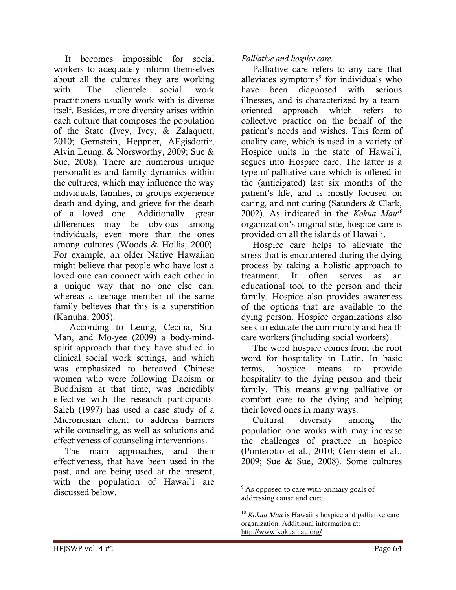It becomes impossible for social workers to adequately inform themselves about all the cultures they are working with. The clientele social work practitioners usually work with is diverse itself. Besides, more diversity arises within each culture that composes the population of the State (Ivey, Ivey, & Zalaquett, 2010; Gernstein, Heppner, AEgisdottir, Alvin Leung, & Norsworthy, 2009; Sue & Sue, 2008). There are numerous unique personalities and family dynamics within the cultures, which may influence the way individuals, families, or groups experience death and dying, and grieve for the death of a loved one. Additionally, great differences may be obvious among individuals, even more than the ones among cultures (Woods & Hollis, 2000). For example, an older Native Hawaiian might believe that people who have lost a loved one can connect with each other in a unique way that no one else can, whereas a teenage member of the same family believes that this is a superstition (Kanuha, 2005).

 According to Leung, Cecilia, Siu-Man, and Mo-yee (2009) a body-mindspirit approach that they have studied in clinical social work settings, and which was emphasized to bereaved Chinese women who were following Daoism or Buddhism at that time, was incredibly effective with the research participants. Saleh (1997) has used a case study of a Micronesian client to address barriers while counseling, as well as solutions and effectiveness of counseling interventions.

 The main approaches, and their effectiveness, that have been used in the past, and are being used at the present, with the population of Hawai`i are discussed below.

#### Palliative and hospice care.

 Palliative care refers to any care that alleviates symptoms<sup>9</sup> for individuals who have been diagnosed with serious illnesses, and is characterized by a teamoriented approach which refers to collective practice on the behalf of the patient's needs and wishes. This form of quality care, which is used in a variety of Hospice units in the state of Hawai`i, segues into Hospice care. The latter is a type of palliative care which is offered in the (anticipated) last six months of the patient's life, and is mostly focused on caring, and not curing (Saunders & Clark, 2002). As indicated in the Kokua Mau<sup>10</sup> organization's original site, hospice care is provided on all the islands of Hawai`i.

 Hospice care helps to alleviate the stress that is encountered during the dying process by taking a holistic approach to treatment. It often serves as an educational tool to the person and their family. Hospice also provides awareness of the options that are available to the dying person. Hospice organizations also seek to educate the community and health care workers (including social workers).

 The word hospice comes from the root word for hospitality in Latin. In basic terms, hospice means to provide hospitality to the dying person and their family. This means giving palliative or comfort care to the dying and helping their loved ones in many ways.

 Cultural diversity among the population one works with may increase the challenges of practice in hospice (Ponterotto et al., 2010; Gernstein et al., 2009; Sue & Sue, 2008). Some cultures

<sup>&</sup>lt;sup>9</sup> As opposed to care with primary goals of addressing cause and cure.

<sup>10</sup> *Kokua Mau* is Hawaii's hospice and palliative care organization. Additional information at: http://www.kokuamau.org/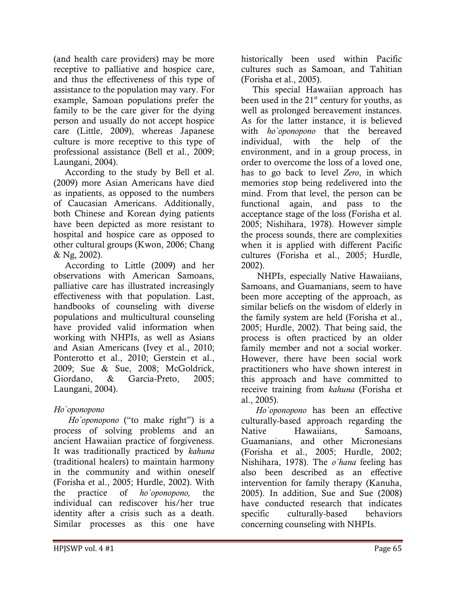(and health care providers) may be more receptive to palliative and hospice care, and thus the effectiveness of this type of assistance to the population may vary. For example, Samoan populations prefer the family to be the care giver for the dying person and usually do not accept hospice care (Little, 2009), whereas Japanese culture is more receptive to this type of professional assistance (Bell et al., 2009; Laungani, 2004).

 According to the study by Bell et al. (2009) more Asian Americans have died as inpatients, as opposed to the numbers of Caucasian Americans. Additionally, both Chinese and Korean dying patients have been depicted as more resistant to hospital and hospice care as opposed to other cultural groups (Kwon, 2006; Chang & Ng, 2002).

 According to Little (2009) and her observations with American Samoans, palliative care has illustrated increasingly effectiveness with that population. Last, handbooks of counseling with diverse populations and multicultural counseling have provided valid information when working with NHPIs, as well as Asians and Asian Americans (Ivey et al., 2010; Ponterotto et al., 2010; Gerstein et al., 2009; Sue & Sue, 2008; McGoldrick, Giordano, & Garcia-Preto, 2005; Laungani, 2004).

### Ho`oponopono

 Ho`oponopono ("to make right") is a process of solving problems and an ancient Hawaiian practice of forgiveness. It was traditionally practiced by kahuna (traditional healers) to maintain harmony in the community and within oneself (Forisha et al., 2005; Hurdle, 2002). With the practice of ho`oponopono, the individual can rediscover his/her true identity after a crisis such as a death. Similar processes as this one have

historically been used within Pacific cultures such as Samoan, and Tahitian (Forisha et al., 2005).

 This special Hawaiian approach has been used in the  $21<sup>st</sup>$  century for youths, as well as prolonged bereavement instances. As for the latter instance, it is believed with *ho*'oponopono that the bereaved individual, with the help of the environment, and in a group process, in order to overcome the loss of a loved one, has to go back to level Zero, in which memories stop being redelivered into the mind. From that level, the person can be functional again, and pass to the acceptance stage of the loss (Forisha et al. 2005; Nishihara, 1978). However simple the process sounds, there are complexities when it is applied with different Pacific cultures (Forisha et al., 2005; Hurdle, 2002).

 NHPIs, especially Native Hawaiians, Samoans, and Guamanians, seem to have been more accepting of the approach, as similar beliefs on the wisdom of elderly in the family system are held (Forisha et al., 2005; Hurdle, 2002). That being said, the process is often practiced by an older family member and not a social worker. However, there have been social work practitioners who have shown interest in this approach and have committed to receive training from kahuna (Forisha et al., 2005).

 Ho`oponopono has been an effective culturally-based approach regarding the Native Hawaiians, Samoans, Guamanians, and other Micronesians (Forisha et al., 2005; Hurdle, 2002; Nishihara, 1978). The *o*'hana feeling has also been described as an effective intervention for family therapy (Kanuha, 2005). In addition, Sue and Sue (2008) have conducted research that indicates specific culturally-based behaviors concerning counseling with NHPIs.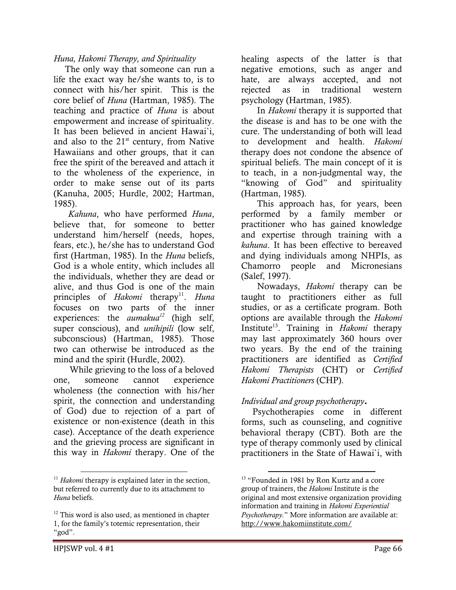#### Huna, Hakomi Therapy, and Spirituality

 The only way that someone can run a life the exact way he/she wants to, is to connect with his/her spirit. This is the core belief of Huna (Hartman, 1985). The teaching and practice of Huna is about empowerment and increase of spirituality. It has been believed in ancient Hawai`i, and also to the  $21<sup>st</sup>$  century, from Native Hawaiians and other groups, that it can free the spirit of the bereaved and attach it to the wholeness of the experience, in order to make sense out of its parts (Kanuha, 2005; Hurdle, 2002; Hartman, 1985).

 Kahuna, who have performed Huna, believe that, for someone to better understand him/herself (needs, hopes, fears, etc.), he/she has to understand God first (Hartman, 1985). In the *Huna* beliefs, God is a whole entity, which includes all the individuals, whether they are dead or alive, and thus God is one of the main principles of Hakomi therapy<sup>11</sup>. Huna focuses on two parts of the inner experiences: the *aumakua*<sup>12</sup> (high self, super conscious), and *unihipili* (low self, subconscious) (Hartman, 1985). Those two can otherwise be introduced as the mind and the spirit (Hurdle, 2002).

 While grieving to the loss of a beloved one, someone cannot experience wholeness (the connection with his/her spirit, the connection and understanding of God) due to rejection of a part of existence or non-existence (death in this case). Acceptance of the death experience and the grieving process are significant in this way in Hakomi therapy. One of the

 In Hakomi therapy it is supported that the disease is and has to be one with the cure. The understanding of both will lead to development and health. Hakomi therapy does not condone the absence of spiritual beliefs. The main concept of it is to teach, in a non-judgmental way, the "knowing of God" and spirituality (Hartman, 1985).

 This approach has, for years, been performed by a family member or practitioner who has gained knowledge and expertise through training with a kahuna. It has been effective to bereaved and dying individuals among NHPIs, as Chamorro people and Micronesians (Salef, 1997).

 Nowadays, Hakomi therapy can be taught to practitioners either as full studies, or as a certificate program. Both options are available through the Hakomi Institute<sup>13</sup>. Training in *Hakomi* therapy may last approximately 360 hours over two years. By the end of the training practitioners are identified as Certified Hakomi Therapists (CHT) or Certified Hakomi Practitioners (CHP).

#### Individual and group psychotherapy.

 $\overline{a}$ 

 Psychotherapies come in different forms, such as counseling, and cognitive behavioral therapy (CBT). Both are the type of therapy commonly used by clinical practitioners in the State of Hawai`i, with

l

 $11$  Hakomi therapy is explained later in the section, but referred to currently due to its attachment to Huna beliefs.

 $12$  This word is also used, as mentioned in chapter 1, for the family's totemic representation, their "god".

<sup>&</sup>lt;sup>13</sup> "Founded in 1981 by Ron Kurtz and a core group of trainers, the Hakomi Institute is the original and most extensive organization providing information and training in Hakomi Experiential Psychotherapy." More information are available at: http://www.hakomiinstitute.com/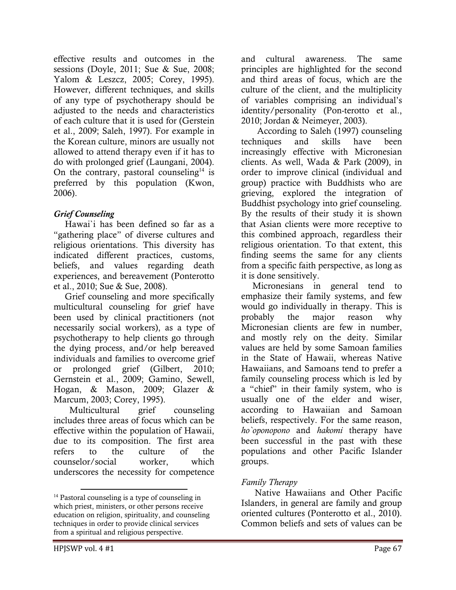effective results and outcomes in the sessions (Doyle, 2011; Sue & Sue, 2008; Yalom & Leszcz, 2005; Corey, 1995). However, different techniques, and skills of any type of psychotherapy should be adjusted to the needs and characteristics of each culture that it is used for (Gerstein et al., 2009; Saleh, 1997). For example in the Korean culture, minors are usually not allowed to attend therapy even if it has to do with prolonged grief (Laungani, 2004). On the contrary, pastoral counseling<sup>14</sup> is preferred by this population (Kwon, 2006).

## Grief Counseling

 Hawai`i has been defined so far as a "gathering place" of diverse cultures and religious orientations. This diversity has indicated different practices, customs, beliefs, and values regarding death experiences, and bereavement (Ponterotto et al., 2010; Sue & Sue, 2008).

 Grief counseling and more specifically multicultural counseling for grief have been used by clinical practitioners (not necessarily social workers), as a type of psychotherapy to help clients go through the dying process, and/or help bereaved individuals and families to overcome grief or prolonged grief (Gilbert, 2010; Gernstein et al., 2009; Gamino, Sewell, Hogan, & Mason, 2009; Glazer & Marcum, 2003; Corey, 1995).

 Multicultural grief counseling includes three areas of focus which can be effective within the population of Hawaii, due to its composition. The first area refers to the culture of the counselor/social worker, which underscores the necessity for competence

and cultural awareness. The same principles are highlighted for the second and third areas of focus, which are the culture of the client, and the multiplicity of variables comprising an individual's identity/personality (Pon-terotto et al., 2010; Jordan & Neimeyer, 2003).

 According to Saleh (1997) counseling techniques and skills have been increasingly effective with Micronesian clients. As well, Wada & Park (2009), in order to improve clinical (individual and group) practice with Buddhists who are grieving, explored the integration of Buddhist psychology into grief counseling. By the results of their study it is shown that Asian clients were more receptive to this combined approach, regardless their religious orientation. To that extent, this finding seems the same for any clients from a specific faith perspective, as long as it is done sensitively.

 Micronesians in general tend to emphasize their family systems, and few would go individually in therapy. This is probably the major reason why Micronesian clients are few in number, and mostly rely on the deity. Similar values are held by some Samoan families in the State of Hawaii, whereas Native Hawaiians, and Samoans tend to prefer a family counseling process which is led by a "chief" in their family system, who is usually one of the elder and wiser, according to Hawaiian and Samoan beliefs, respectively. For the same reason, ho`oponopono and hakomi therapy have been successful in the past with these populations and other Pacific Islander groups.

## Family Therapy

 Native Hawaiians and Other Pacific Islanders, in general are family and group oriented cultures (Ponterotto et al., 2010). Common beliefs and sets of values can be

 $14$  Pastoral counseling is a type of counseling in which priest, ministers, or other persons receive education on religion, spirituality, and counseling techniques in order to provide clinical services from a spiritual and religious perspective.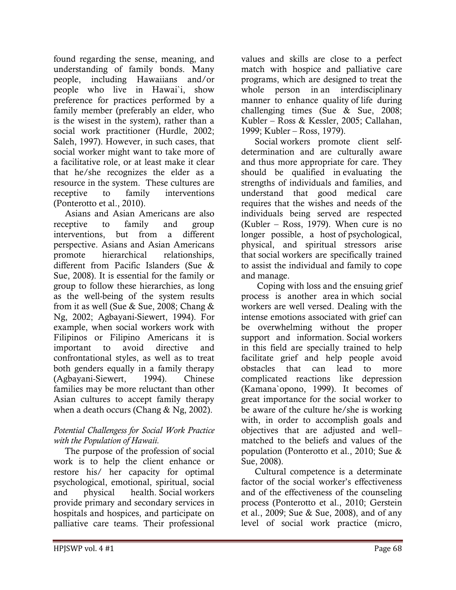found regarding the sense, meaning, and understanding of family bonds. Many people, including Hawaiians and/or people who live in Hawai`i, show preference for practices performed by a family member (preferably an elder, who is the wisest in the system), rather than a social work practitioner (Hurdle, 2002; Saleh, 1997). However, in such cases, that social worker might want to take more of a facilitative role, or at least make it clear that he/she recognizes the elder as a resource in the system. These cultures are receptive to family interventions (Ponterotto et al., 2010).

 Asians and Asian Americans are also receptive to family and group interventions, but from a different perspective. Asians and Asian Americans promote hierarchical relationships, different from Pacific Islanders (Sue & Sue, 2008). It is essential for the family or group to follow these hierarchies, as long as the well-being of the system results from it as well (Sue & Sue, 2008; Chang & Ng, 2002; Agbayani-Siewert, 1994). For example, when social workers work with Filipinos or Filipino Americans it is important to avoid directive and confrontational styles, as well as to treat both genders equally in a family therapy (Agbayani-Siewert, 1994). Chinese families may be more reluctant than other Asian cultures to accept family therapy when a death occurs (Chang & Ng, 2002).

#### Potential Challengess for Social Work Practice with the Population of Hawaii.

 The purpose of the profession of social work is to help the client enhance or restore his/ her capacity for optimal psychological, emotional, spiritual, social and physical health. Social workers provide primary and secondary services in hospitals and hospices, and participate on palliative care teams. Their professional

values and skills are close to a perfect match with hospice and palliative care programs, which are designed to treat the whole person in an interdisciplinary manner to enhance quality of life during challenging times (Sue & Sue, 2008; Kubler – Ross & Kessler, 2005; Callahan, 1999; Kubler – Ross, 1979).

 Social workers promote client selfdetermination and are culturally aware and thus more appropriate for care. They should be qualified in evaluating the strengths of individuals and families, and understand that good medical care requires that the wishes and needs of the individuals being served are respected (Kubler – Ross, 1979). When cure is no longer possible, a host of psychological, physical, and spiritual stressors arise that social workers are specifically trained to assist the individual and family to cope and manage.

 Coping with loss and the ensuing grief process is another area in which social workers are well versed. Dealing with the intense emotions associated with grief can be overwhelming without the proper support and information. Social workers in this field are specially trained to help facilitate grief and help people avoid obstacles that can lead to more complicated reactions like depression (Kamana`opono, 1999). It becomes of great importance for the social worker to be aware of the culture he/she is working with, in order to accomplish goals and objectives that are adjusted and well– matched to the beliefs and values of the population (Ponterotto et al., 2010; Sue & Sue, 2008).

 Cultural competence is a determinate factor of the social worker's effectiveness and of the effectiveness of the counseling process (Ponterotto et al., 2010; Gerstein et al., 2009; Sue & Sue, 2008), and of any level of social work practice (micro,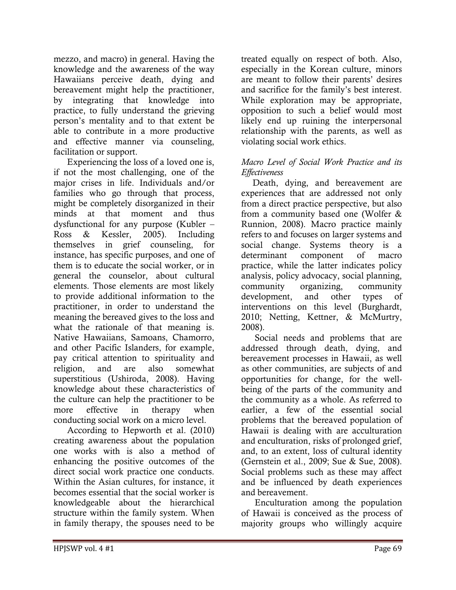mezzo, and macro) in general. Having the knowledge and the awareness of the way Hawaiians perceive death, dying and bereavement might help the practitioner, by integrating that knowledge into practice, to fully understand the grieving person's mentality and to that extent be able to contribute in a more productive and effective manner via counseling, facilitation or support.

 Experiencing the loss of a loved one is, if not the most challenging, one of the major crises in life. Individuals and/or families who go through that process, might be completely disorganized in their minds at that moment and thus dysfunctional for any purpose (Kubler – Ross & Kessler, 2005). Including themselves in grief counseling, for instance, has specific purposes, and one of them is to educate the social worker, or in general the counselor, about cultural elements. Those elements are most likely to provide additional information to the practitioner, in order to understand the meaning the bereaved gives to the loss and what the rationale of that meaning is. Native Hawaiians, Samoans, Chamorro, and other Pacific Islanders, for example, pay critical attention to spirituality and religion, and are also somewhat superstitious (Ushiroda, 2008). Having knowledge about these characteristics of the culture can help the practitioner to be more effective in therapy when conducting social work on a micro level.

 According to Hepworth et al. (2010) creating awareness about the population one works with is also a method of enhancing the positive outcomes of the direct social work practice one conducts. Within the Asian cultures, for instance, it becomes essential that the social worker is knowledgeable about the hierarchical structure within the family system. When in family therapy, the spouses need to be

treated equally on respect of both. Also, especially in the Korean culture, minors are meant to follow their parents' desires and sacrifice for the family's best interest. While exploration may be appropriate, opposition to such a belief would most likely end up ruining the interpersonal relationship with the parents, as well as violating social work ethics.

#### Macro Level of Social Work Practice and its Effectiveness

 Death, dying, and bereavement are experiences that are addressed not only from a direct practice perspective, but also from a community based one (Wolfer & Runnion, 2008). Macro practice mainly refers to and focuses on larger systems and social change. Systems theory is a determinant component of macro practice, while the latter indicates policy analysis, policy advocacy, social planning, community organizing, community development, and other types of interventions on this level (Burghardt, 2010; Netting, Kettner, & McMurtry, 2008).

 Social needs and problems that are addressed through death, dying, and bereavement processes in Hawaii, as well as other communities, are subjects of and opportunities for change, for the wellbeing of the parts of the community and the community as a whole. As referred to earlier, a few of the essential social problems that the bereaved population of Hawaii is dealing with are acculturation and enculturation, risks of prolonged grief, and, to an extent, loss of cultural identity (Gernstein et al., 2009; Sue & Sue, 2008). Social problems such as these may affect and be influenced by death experiences and bereavement.

 Enculturation among the population of Hawaii is conceived as the process of majority groups who willingly acquire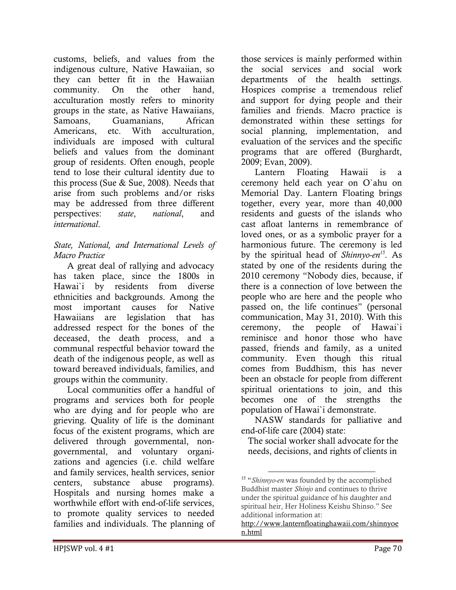customs, beliefs, and values from the indigenous culture, Native Hawaiian, so they can better fit in the Hawaiian<br>community. On the other hand. community. On the other hand, acculturation mostly refers to minority groups in the state, as Native Hawaiians, Samoans, Guamanians, African Americans, etc. With acculturation, individuals are imposed with cultural beliefs and values from the dominant group of residents. Often enough, people tend to lose their cultural identity due to this process (Sue & Sue, 2008). Needs that arise from such problems and/or risks may be addressed from three different perspectives: state, national, and international.

#### State, National, and International Levels of Macro Practice

 A great deal of rallying and advocacy has taken place, since the 1800s in Hawai`i by residents from diverse ethnicities and backgrounds. Among the most important causes for Native Hawaiians are legislation that has addressed respect for the bones of the deceased, the death process, and a communal respectful behavior toward the death of the indigenous people, as well as toward bereaved individuals, families, and groups within the community.

 Local communities offer a handful of programs and services both for people who are dying and for people who are grieving. Quality of life is the dominant focus of the existent programs, which are delivered through governmental, nongovernmental, and voluntary organizations and agencies (i.e. child welfare and family services, health services, senior centers, substance abuse programs). Hospitals and nursing homes make a worthwhile effort with end-of-life services, to promote quality services to needed families and individuals. The planning of

those services is mainly performed within the social services and social work departments of the health settings. Hospices comprise a tremendous relief and support for dying people and their families and friends. Macro practice is demonstrated within these settings for social planning, implementation, and evaluation of the services and the specific programs that are offered (Burghardt, 2009; Evan, 2009).

 Lantern Floating Hawaii is a ceremony held each year on O`ahu on Memorial Day. Lantern Floating brings together, every year, more than 40,000 residents and guests of the islands who cast afloat lanterns in remembrance of loved ones, or as a symbolic prayer for a harmonious future. The ceremony is led by the spiritual head of *Shinnyo-en*<sup>15</sup>. As stated by one of the residents during the 2010 ceremony "Nobody dies, because, if there is a connection of love between the people who are here and the people who passed on, the life continues" (personal communication, May 31, 2010). With this ceremony, the people of Hawai`i reminisce and honor those who have passed, friends and family, as a united community. Even though this ritual comes from Buddhism, this has never been an obstacle for people from different spiritual orientations to join, and this becomes one of the strengths the population of Hawai`i demonstrate.

 NASW standards for palliative and end-of-life care (2004) state:

The social worker shall advocate for the needs, decisions, and rights of clients in

<sup>&</sup>lt;sup>15</sup> "Shinnyo-en was founded by the accomplished Buddhist master Shinjo and continues to thrive under the spiritual guidance of his daughter and spiritual heir, Her Holiness Keishu Shinso." See additional information at:

http://www.lanternfloatinghawaii.com/shinnyoe n.html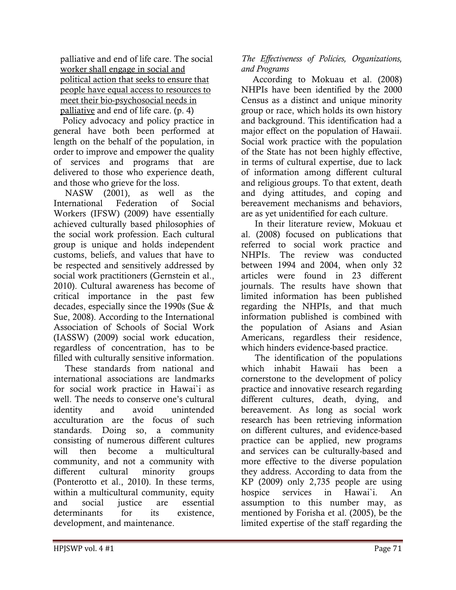palliative and end of life care. The social worker shall engage in social and political action that seeks to ensure that people have equal access to resources to meet their bio-psychosocial needs in palliative and end of life care. (p. 4)

 Policy advocacy and policy practice in general have both been performed at length on the behalf of the population, in order to improve and empower the quality of services and programs that are delivered to those who experience death, and those who grieve for the loss.

 NASW (2001), as well as the International Federation of Social Workers (IFSW) (2009) have essentially achieved culturally based philosophies of the social work profession. Each cultural group is unique and holds independent customs, beliefs, and values that have to be respected and sensitively addressed by social work practitioners (Gernstein et al., 2010). Cultural awareness has become of critical importance in the past few decades, especially since the 1990s (Sue & Sue, 2008). According to the International Association of Schools of Social Work (IASSW) (2009) social work education, regardless of concentration, has to be filled with culturally sensitive information.

 These standards from national and international associations are landmarks for social work practice in Hawai`i as well. The needs to conserve one's cultural identity and avoid unintended acculturation are the focus of such standards. Doing so, a community consisting of numerous different cultures will then become a multicultural community, and not a community with different cultural minority groups (Ponterotto et al., 2010). In these terms, within a multicultural community, equity and social justice are essential determinants for its existence, development, and maintenance.

## The Effectiveness of Policies, Organizations, and Programs

 According to Mokuau et al. (2008) NHPIs have been identified by the 2000 Census as a distinct and unique minority group or race, which holds its own history and background. This identification had a major effect on the population of Hawaii. Social work practice with the population of the State has not been highly effective, in terms of cultural expertise, due to lack of information among different cultural and religious groups. To that extent, death and dying attitudes, and coping and bereavement mechanisms and behaviors, are as yet unidentified for each culture.

 In their literature review, Mokuau et al. (2008) focused on publications that referred to social work practice and NHPIs. The review was conducted between 1994 and 2004, when only 32 articles were found in 23 different journals. The results have shown that limited information has been published regarding the NHPIs, and that much information published is combined with the population of Asians and Asian Americans, regardless their residence, which hinders evidence-based practice.

 The identification of the populations which inhabit Hawaii has been a cornerstone to the development of policy practice and innovative research regarding different cultures, death, dying, and bereavement. As long as social work research has been retrieving information on different cultures, and evidence-based practice can be applied, new programs and services can be culturally-based and more effective to the diverse population they address. According to data from the KP (2009) only 2,735 people are using hospice services in Hawai`i. An assumption to this number may, as mentioned by Forisha et al. (2005), be the limited expertise of the staff regarding the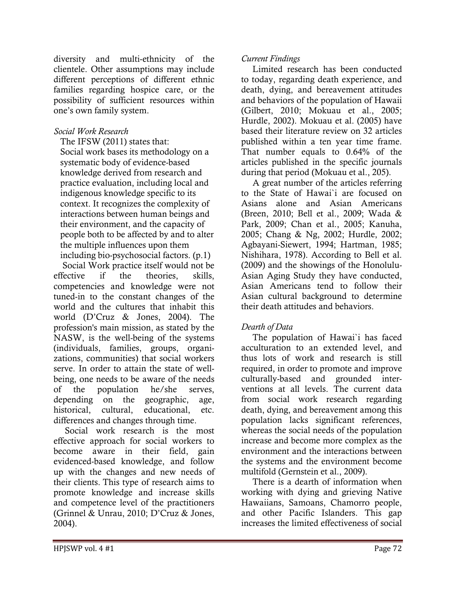diversity and multi-ethnicity of the clientele. Other assumptions may include different perceptions of different ethnic families regarding hospice care, or the possibility of sufficient resources within one's own family system.

### Social Work Research

 The IFSW (2011) states that: Social work bases its methodology on a systematic body of evidence-based knowledge derived from research and practice evaluation, including local and indigenous knowledge specific to its context. It recognizes the complexity of interactions between human beings and their environment, and the capacity of people both to be affected by and to alter the multiple influences upon them including bio-psychosocial factors. (p.1)

 Social Work practice itself would not be effective if the theories, skills, competencies and knowledge were not tuned-in to the constant changes of the world and the cultures that inhabit this world (D'Cruz & Jones, 2004). The profession's main mission, as stated by the NASW, is the well-being of the systems (individuals, families, groups, organizations, communities) that social workers serve. In order to attain the state of wellbeing, one needs to be aware of the needs of the population he/she serves, depending on the geographic, age, historical, cultural, educational, etc. differences and changes through time.

 Social work research is the most effective approach for social workers to become aware in their field, gain evidenced-based knowledge, and follow up with the changes and new needs of their clients. This type of research aims to promote knowledge and increase skills and competence level of the practitioners (Grinnel & Unrau, 2010; D'Cruz & Jones, 2004).

#### Current Findings

 Limited research has been conducted to today, regarding death experience, and death, dying, and bereavement attitudes and behaviors of the population of Hawaii (Gilbert, 2010; Mokuau et al., 2005; Hurdle, 2002). Mokuau et al. (2005) have based their literature review on 32 articles published within a ten year time frame. That number equals to 0.64% of the articles published in the specific journals during that period (Mokuau et al., 205).

 A great number of the articles referring to the State of Hawai`i are focused on Asians alone and Asian Americans (Breen, 2010; Bell et al., 2009; Wada & Park, 2009; Chan et al., 2005; Kanuha, 2005; Chang & Ng, 2002; Hurdle, 2002; Agbayani-Siewert, 1994; Hartman, 1985; Nishihara, 1978). According to Bell et al. (2009) and the showings of the Honolulu-Asian Aging Study they have conducted, Asian Americans tend to follow their Asian cultural background to determine their death attitudes and behaviors.

### Dearth of Data

 The population of Hawai`i has faced acculturation to an extended level, and thus lots of work and research is still required, in order to promote and improve culturally-based and grounded interventions at all levels. The current data from social work research regarding death, dying, and bereavement among this population lacks significant references, whereas the social needs of the population increase and become more complex as the environment and the interactions between the systems and the environment become multifold (Gernstein et al., 2009).

 There is a dearth of information when working with dying and grieving Native Hawaiians, Samoans, Chamorro people, and other Pacific Islanders. This gap increases the limited effectiveness of social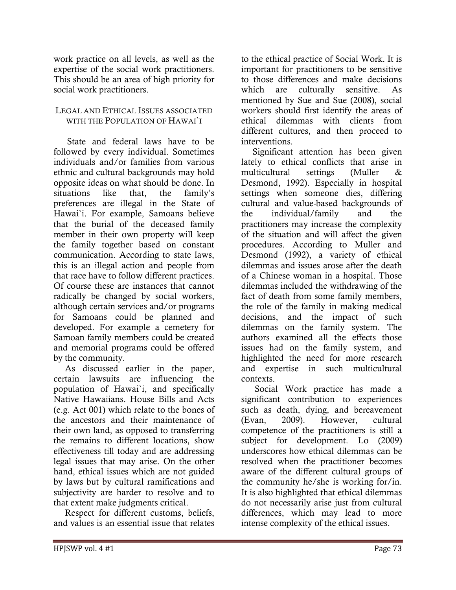work practice on all levels, as well as the expertise of the social work practitioners. This should be an area of high priority for social work practitioners.

#### LEGAL AND ETHICAL ISSUES ASSOCIATED WITH THE POPULATION OF HAWAI`I

 State and federal laws have to be followed by every individual. Sometimes individuals and/or families from various ethnic and cultural backgrounds may hold opposite ideas on what should be done. In situations like that, the family's preferences are illegal in the State of Hawai`i. For example, Samoans believe that the burial of the deceased family member in their own property will keep the family together based on constant communication. According to state laws, this is an illegal action and people from that race have to follow different practices. Of course these are instances that cannot radically be changed by social workers, although certain services and/or programs for Samoans could be planned and developed. For example a cemetery for Samoan family members could be created and memorial programs could be offered by the community.

 As discussed earlier in the paper, certain lawsuits are influencing the population of Hawai`i, and specifically Native Hawaiians. House Bills and Acts (e.g. Act 001) which relate to the bones of the ancestors and their maintenance of their own land, as opposed to transferring the remains to different locations, show effectiveness till today and are addressing legal issues that may arise. On the other hand, ethical issues which are not guided by laws but by cultural ramifications and subjectivity are harder to resolve and to that extent make judgments critical.

 Respect for different customs, beliefs, and values is an essential issue that relates to the ethical practice of Social Work. It is important for practitioners to be sensitive to those differences and make decisions which are culturally sensitive. As mentioned by Sue and Sue (2008), social workers should first identify the areas of ethical dilemmas with clients from different cultures, and then proceed to interventions.

 Significant attention has been given lately to ethical conflicts that arise in multicultural settings (Muller & Desmond, 1992). Especially in hospital settings when someone dies, differing cultural and value-based backgrounds of the individual/family and the practitioners may increase the complexity of the situation and will affect the given procedures. According to Muller and Desmond (1992), a variety of ethical dilemmas and issues arose after the death of a Chinese woman in a hospital. Those dilemmas included the withdrawing of the fact of death from some family members, the role of the family in making medical decisions, and the impact of such dilemmas on the family system. The authors examined all the effects those issues had on the family system, and highlighted the need for more research and expertise in such multicultural contexts.

 Social Work practice has made a significant contribution to experiences such as death, dying, and bereavement (Evan, 2009). However, cultural competence of the practitioners is still a subject for development. Lo (2009) underscores how ethical dilemmas can be resolved when the practitioner becomes aware of the different cultural groups of the community he/she is working for/in. It is also highlighted that ethical dilemmas do not necessarily arise just from cultural differences, which may lead to more intense complexity of the ethical issues.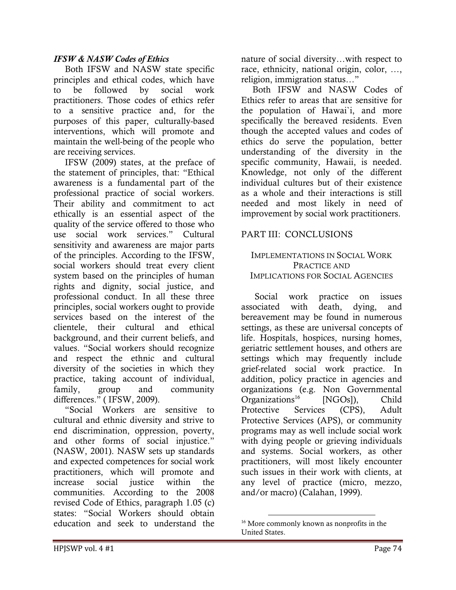#### IFSW & NASW Codes of Ethics

 Both IFSW and NASW state specific principles and ethical codes, which have to be followed by social work practitioners. Those codes of ethics refer to a sensitive practice and, for the purposes of this paper, culturally-based interventions, which will promote and maintain the well-being of the people who are receiving services.

 IFSW (2009) states, at the preface of the statement of principles, that: "Ethical awareness is a fundamental part of the professional practice of social workers. Their ability and commitment to act ethically is an essential aspect of the quality of the service offered to those who use social work services." Cultural sensitivity and awareness are major parts of the principles. According to the IFSW, social workers should treat every client system based on the principles of human rights and dignity, social justice, and professional conduct. In all these three principles, social workers ought to provide services based on the interest of the clientele, their cultural and ethical background, and their current beliefs, and values. "Social workers should recognize and respect the ethnic and cultural diversity of the societies in which they practice, taking account of individual, family, group and community differences." ( IFSW, 2009).

 "Social Workers are sensitive to cultural and ethnic diversity and strive to end discrimination, oppression, poverty, and other forms of social injustice." (NASW, 2001). NASW sets up standards and expected competences for social work practitioners, which will promote and increase social justice within the communities. According to the 2008 revised Code of Ethics, paragraph 1.05 (c) states: "Social Workers should obtain education and seek to understand the

nature of social diversity…with respect to race, ethnicity, national origin, color, …, religion, immigration status…"

 Both IFSW and NASW Codes of Ethics refer to areas that are sensitive for the population of Hawai`i, and more specifically the bereaved residents. Even though the accepted values and codes of ethics do serve the population, better understanding of the diversity in the specific community, Hawaii, is needed. Knowledge, not only of the different individual cultures but of their existence as a whole and their interactions is still needed and most likely in need of improvement by social work practitioners.

### PART III: CONCLUSIONS

#### IMPLEMENTATIONS IN SOCIAL WORK PRACTICE AND IMPLICATIONS FOR SOCIAL AGENCIES

 Social work practice on issues associated with death, dying, and bereavement may be found in numerous settings, as these are universal concepts of life. Hospitals, hospices, nursing homes, geriatric settlement houses, and others are settings which may frequently include grief-related social work practice. In addition, policy practice in agencies and organizations (e.g. Non Governmental Organizations<sup>16</sup> [NGOs]), Child Protective Services (CPS), Adult Protective Services (APS), or community programs may as well include social work with dying people or grieving individuals and systems. Social workers, as other practitioners, will most likely encounter such issues in their work with clients, at any level of practice (micro, mezzo, and/or macro) (Calahan, 1999).

<sup>16</sup> More commonly known as nonprofits in the United States.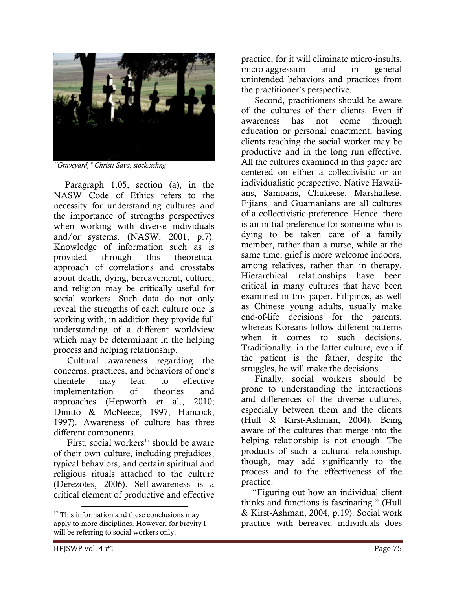

"Graveyard," Christi Sava, stock.xchng

 Paragraph 1.05, section (a), in the NASW Code of Ethics refers to the necessity for understanding cultures and the importance of strengths perspectives when working with diverse individuals and/or systems. (NASW, 2001, p.7). Knowledge of information such as is provided through this theoretical approach of correlations and crosstabs about death, dying, bereavement, culture, and religion may be critically useful for social workers. Such data do not only reveal the strengths of each culture one is working with, in addition they provide full understanding of a different worldview which may be determinant in the helping process and helping relationship.

 Cultural awareness regarding the concerns, practices, and behaviors of one's clientele may lead to effective implementation of theories and approaches (Hepworth et al., 2010; Dinitto & McNeece, 1997; Hancock, 1997). Awareness of culture has three different components.

First, social workers<sup>17</sup> should be aware of their own culture, including prejudices, typical behaviors, and certain spiritual and religious rituals attached to the culture (Derezotes, 2006). Self-awareness is a critical element of productive and effective

practice, for it will eliminate micro-insults, micro-aggression and in general unintended behaviors and practices from the practitioner's perspective.

 Second, practitioners should be aware of the cultures of their clients. Even if awareness has not come through education or personal enactment, having clients teaching the social worker may be productive and in the long run effective. All the cultures examined in this paper are centered on either a collectivistic or an individualistic perspective. Native Hawaiians, Samoans, Chukeese, Marshallese, Fijians, and Guamanians are all cultures of a collectivistic preference. Hence, there is an initial preference for someone who is dying to be taken care of a family member, rather than a nurse, while at the same time, grief is more welcome indoors, among relatives, rather than in therapy. Hierarchical relationships have been critical in many cultures that have been examined in this paper. Filipinos, as well as Chinese young adults, usually make end-of-life decisions for the parents, whereas Koreans follow different patterns when it comes to such decisions. Traditionally, in the latter culture, even if the patient is the father, despite the struggles, he will make the decisions.

 Finally, social workers should be prone to understanding the interactions and differences of the diverse cultures, especially between them and the clients (Hull & Kirst-Ashman, 2004). Being aware of the cultures that merge into the helping relationship is not enough. The products of such a cultural relationship, though, may add significantly to the process and to the effectiveness of the practice.

 "Figuring out how an individual client thinks and functions is fascinating." (Hull & Kirst-Ashman, 2004, p.19). Social work practice with bereaved individuals does

<sup>&</sup>lt;sup>17</sup> This information and these conclusions may apply to more disciplines. However, for brevity I will be referring to social workers only.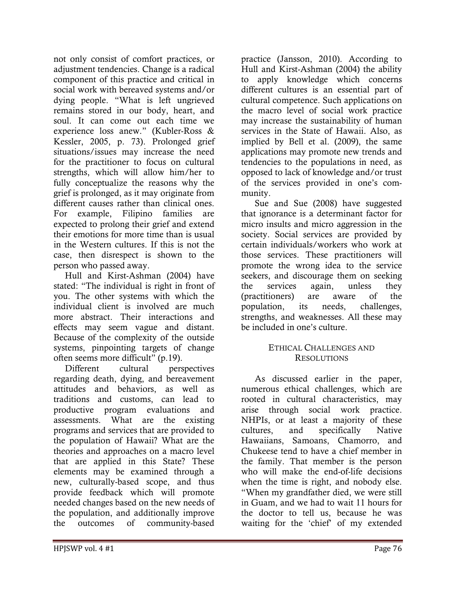not only consist of comfort practices, or adjustment tendencies. Change is a radical component of this practice and critical in social work with bereaved systems and/or dying people. "What is left ungrieved remains stored in our body, heart, and soul. It can come out each time we experience loss anew." (Kubler-Ross & Kessler, 2005, p. 73). Prolonged grief situations/issues may increase the need for the practitioner to focus on cultural strengths, which will allow him/her to fully conceptualize the reasons why the grief is prolonged, as it may originate from different causes rather than clinical ones. For example, Filipino families are expected to prolong their grief and extend their emotions for more time than is usual in the Western cultures. If this is not the case, then disrespect is shown to the person who passed away.

 Hull and Kirst-Ashman (2004) have stated: "The individual is right in front of you. The other systems with which the individual client is involved are much more abstract. Their interactions and effects may seem vague and distant. Because of the complexity of the outside systems, pinpointing targets of change often seems more difficult" (p.19).

 Different cultural perspectives regarding death, dying, and bereavement attitudes and behaviors, as well as traditions and customs, can lead to productive program evaluations and assessments. What are the existing programs and services that are provided to the population of Hawaii? What are the theories and approaches on a macro level that are applied in this State? These elements may be examined through a new, culturally-based scope, and thus provide feedback which will promote needed changes based on the new needs of the population, and additionally improve the outcomes of community-based

practice (Jansson, 2010). According to Hull and Kirst-Ashman (2004) the ability to apply knowledge which concerns different cultures is an essential part of cultural competence. Such applications on the macro level of social work practice may increase the sustainability of human services in the State of Hawaii. Also, as implied by Bell et al. (2009), the same applications may promote new trends and tendencies to the populations in need, as opposed to lack of knowledge and/or trust of the services provided in one's community.

 Sue and Sue (2008) have suggested that ignorance is a determinant factor for micro insults and micro aggression in the society. Social services are provided by certain individuals/workers who work at those services. These practitioners will promote the wrong idea to the service seekers, and discourage them on seeking the services again, unless they (practitioners) are aware of the population, its needs, challenges, strengths, and weaknesses. All these may be included in one's culture.

#### ETHICAL CHALLENGES AND **RESOLUTIONS**

 As discussed earlier in the paper, numerous ethical challenges, which are rooted in cultural characteristics, may arise through social work practice. NHPIs, or at least a majority of these cultures, and specifically Native Hawaiians, Samoans, Chamorro, and Chukeese tend to have a chief member in the family. That member is the person who will make the end-of-life decisions when the time is right, and nobody else. "When my grandfather died, we were still in Guam, and we had to wait 11 hours for the doctor to tell us, because he was waiting for the 'chief' of my extended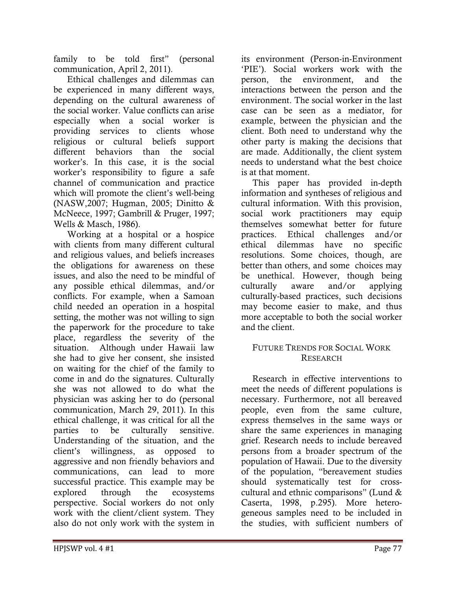family to be told first" (personal communication, April 2, 2011).

 Ethical challenges and dilemmas can be experienced in many different ways, depending on the cultural awareness of the social worker. Value conflicts can arise especially when a social worker is providing services to clients whose religious or cultural beliefs support different behaviors than the social worker's. In this case, it is the social worker's responsibility to figure a safe channel of communication and practice which will promote the client's well-being (NASW,2007; Hugman, 2005; Dinitto & McNeece, 1997; Gambrill & Pruger, 1997; Wells & Masch, 1986).

 Working at a hospital or a hospice with clients from many different cultural and religious values, and beliefs increases the obligations for awareness on these issues, and also the need to be mindful of any possible ethical dilemmas, and/or conflicts. For example, when a Samoan child needed an operation in a hospital setting, the mother was not willing to sign the paperwork for the procedure to take place, regardless the severity of the situation. Although under Hawaii law she had to give her consent, she insisted on waiting for the chief of the family to come in and do the signatures. Culturally she was not allowed to do what the physician was asking her to do (personal communication, March 29, 2011). In this ethical challenge, it was critical for all the parties to be culturally sensitive. Understanding of the situation, and the client's willingness, as opposed to aggressive and non friendly behaviors and communications, can lead to more successful practice. This example may be explored through the ecosystems perspective. Social workers do not only work with the client/client system. They also do not only work with the system in

its environment (Person-in-Environment 'PIE'). Social workers work with the person, the environment, and the interactions between the person and the environment. The social worker in the last case can be seen as a mediator, for example, between the physician and the client. Both need to understand why the other party is making the decisions that are made. Additionally, the client system needs to understand what the best choice is at that moment.

 This paper has provided in-depth information and syntheses of religious and cultural information. With this provision, social work practitioners may equip themselves somewhat better for future practices. Ethical challenges and/or ethical dilemmas have no specific resolutions. Some choices, though, are better than others, and some choices may be unethical. However, though being culturally aware and/or applying culturally-based practices, such decisions may become easier to make, and thus more acceptable to both the social worker and the client.

#### FUTURE TRENDS FOR SOCIAL WORK RESEARCH

 Research in effective interventions to meet the needs of different populations is necessary. Furthermore, not all bereaved people, even from the same culture, express themselves in the same ways or share the same experiences in managing grief. Research needs to include bereaved persons from a broader spectrum of the population of Hawaii. Due to the diversity of the population, "bereavement studies should systematically test for crosscultural and ethnic comparisons" (Lund & Caserta, 1998, p.295). More heterogeneous samples need to be included in the studies, with sufficient numbers of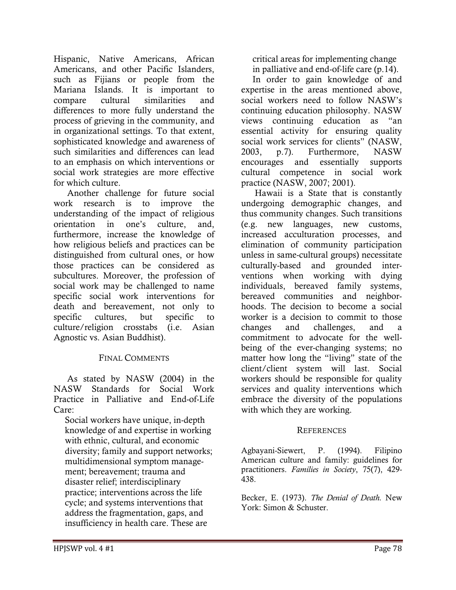Hispanic, Native Americans, African Americans, and other Pacific Islanders, such as Fijians or people from the Mariana Islands. It is important to compare cultural similarities and differences to more fully understand the process of grieving in the community, and in organizational settings. To that extent, sophisticated knowledge and awareness of such similarities and differences can lead to an emphasis on which interventions or social work strategies are more effective for which culture.

 Another challenge for future social work research is to improve the understanding of the impact of religious orientation in one's culture, and, furthermore, increase the knowledge of how religious beliefs and practices can be distinguished from cultural ones, or how those practices can be considered as subcultures. Moreover, the profession of social work may be challenged to name specific social work interventions for death and bereavement, not only to specific cultures, but specific to culture/religion crosstabs (i.e. Asian Agnostic vs. Asian Buddhist).

#### FINAL COMMENTS

 As stated by NASW (2004) in the NASW Standards for Social Work Practice in Palliative and End-of-Life Care:

 Social workers have unique, in-depth knowledge of and expertise in working with ethnic, cultural, and economic diversity; family and support networks; multidimensional symptom manage ment; bereavement; trauma and disaster relief; interdisciplinary practice; interventions across the life cycle; and systems interventions that address the fragmentation, gaps, and insufficiency in health care. These are

 critical areas for implementing change in palliative and end-of-life care (p.14).

 In order to gain knowledge of and expertise in the areas mentioned above, social workers need to follow NASW's continuing education philosophy. NASW views continuing education as "an essential activity for ensuring quality social work services for clients" (NASW, 2003, p.7). Furthermore, NASW encourages and essentially supports cultural competence in social work practice (NASW, 2007; 2001).

 Hawaii is a State that is constantly undergoing demographic changes, and thus community changes. Such transitions (e.g. new languages, new customs, increased acculturation processes, and elimination of community participation unless in same-cultural groups) necessitate culturally-based and grounded interventions when working with dying individuals, bereaved family systems, bereaved communities and neighborhoods. The decision to become a social worker is a decision to commit to those changes and challenges, and a commitment to advocate for the wellbeing of the ever-changing systems; no matter how long the "living" state of the client/client system will last. Social workers should be responsible for quality services and quality interventions which embrace the diversity of the populations with which they are working.

### **REFERENCES**

Agbayani-Siewert, P. (1994). Filipino American culture and family: guidelines for practitioners. Families in Society, 75(7), 429- 438.

Becker, E. (1973). The Denial of Death. New York: Simon & Schuster.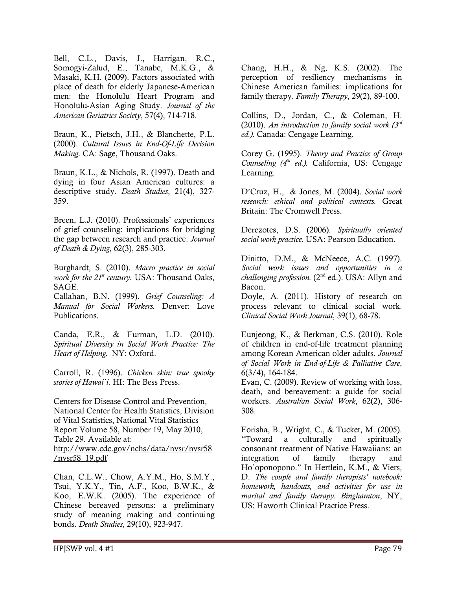Bell, C.L., Davis, J., Harrigan, R.C., Somogyi-Zalud, E., Tanabe, M.K.G., & Masaki, K.H. (2009). Factors associated with place of death for elderly Japanese-American men: the Honolulu Heart Program and Honolulu-Asian Aging Study. Journal of the American Geriatrics Society, 57(4), 714-718.

Braun, K., Pietsch, J.H., & Blanchette, P.L. (2000). Cultural Issues in End-Of-Life Decision Making. CA: Sage, Thousand Oaks.

Braun, K.L., & Nichols, R. (1997). Death and dying in four Asian American cultures: a descriptive study. Death Studies, 21(4), 327- 359.

Breen, L.J. (2010). Professionals' experiences of grief counseling: implications for bridging the gap between research and practice. Journal of Death & Dying, 62(3), 285-303.

Burghardt, S. (2010). Macro practice in social work for the  $21<sup>st</sup>$  century. USA: Thousand Oaks, SAGE.

Callahan, B.N. (1999). Grief Counseling: A Manual for Social Workers. Denver: Love Publications.

Canda, E.R., & Furman, L.D. (2010). Spiritual Diversity in Social Work Practice: The Heart of Helping. NY: Oxford.

Carroll, R. (1996). Chicken skin: true spooky stories of Hawai'i. HI: The Bess Press.

Centers for Disease Control and Prevention, National Center for Health Statistics, Division of Vital Statistics, National Vital Statistics Report Volume 58, Number 19, May 2010, Table 29. Available at: http://www.cdc.gov/nchs/data/nvsr/nvsr58 /nvsr58\_19.pdf

Chan, C.L.W., Chow, A.Y.M., Ho, S.M.Y., Tsui, Y.K.Y., Tin, A.F., Koo, B.W.K., & Koo, E.W.K. (2005). The experience of Chinese bereaved persons: a preliminary study of meaning making and continuing bonds. Death Studies, 29(10), 923-947.

Chang, H.H., & Ng, K.S. (2002). The perception of resiliency mechanisms in Chinese American families: implications for family therapy. Family Therapy, 29(2), 89-100.

Collins, D., Jordan, C., & Coleman, H. (2010). An introduction to family social work  $(3<sup>rd</sup>$ ed.). Canada: Cengage Learning.

Corey G. (1995). Theory and Practice of Group Counseling  $(4<sup>th</sup> ed.)$ . California, US: Cengage Learning.

D'Cruz, H., & Jones, M. (2004). Social work research: ethical and political contexts. Great Britain: The Cromwell Press.

Derezotes, D.S. (2006). Spiritually oriented social work practice. USA: Pearson Education.

Dinitto, D.M., & McNeece, A.C. (1997). Social work issues and opportunities in a challenging profession.  $(2<sup>nd</sup> ed.)$ . USA: Allyn and Bacon.

Doyle, A. (2011). History of research on process relevant to clinical social work. Clinical Social Work Journal, 39(1), 68-78.

Eunjeong, K., & Berkman, C.S. (2010). Role of children in end-of-life treatment planning among Korean American older adults. Journal of Social Work in End-of-Life & Palliative Care, 6(3/4), 164-184.

Evan, C. (2009). Review of working with loss, death, and bereavement: a guide for social workers. Australian Social Work, 62(2), 306- 308.

Forisha, B., Wright, C., & Tucket, M. (2005). "Toward a culturally and spiritually consonant treatment of Native Hawaiians: an integration of family therapy and Ho`oponopono." In Hertlein, K.M., & Viers, D. The couple and family therapists' notebook: homework, handouts, and activities for use in marital and family therapy. Binghamton, NY, US: Haworth Clinical Practice Press.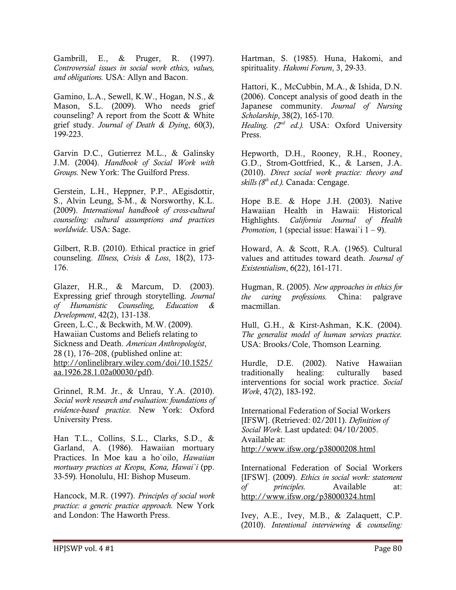Gambrill, E., & Pruger, R. (1997). Controversial issues in social work ethics, values, and obligations. USA: Allyn and Bacon.

Gamino, L.A., Sewell, K.W., Hogan, N.S., & Mason, S.L. (2009). Who needs grief counseling? A report from the Scott & White grief study. Journal of Death & Dying, 60(3), 199-223.

Garvin D.C., Gutierrez M.L., & Galinsky J.M. (2004). Handbook of Social Work with Groups. New York: The Guilford Press.

Gerstein, L.H., Heppner, P.P., AEgisdottir, S., Alvin Leung, S-M., & Norsworthy, K.L. (2009). International handbook of cross-cultural counseling: cultural assumptions and practices worldwide. USA: Sage.

Gilbert, R.B. (2010). Ethical practice in grief counseling. Illness, Crisis & Loss, 18(2), 173- 176.

Glazer, H.R., & Marcum, D. (2003). Expressing grief through storytelling. Journal of Humanistic Counseling, Education & Development, 42(2), 131-138. Green, L.C., & Beckwith, M.W. (2009). Hawaiian Customs and Beliefs relating to Sickness and Death. American Anthropologist, 28 (1), 176–208, (published online at: http://onlinelibrary.wiley.com/doi/10.1525/ aa.1926.28.1.02a00030/pdf).

Grinnel, R.M. Jr., & Unrau, Y.A. (2010). Social work research and evaluation: foundations of evidence-based practice. New York: Oxford University Press.

Han T.L., Collins, S.L., Clarks, S.D., & Garland, A. (1986). Hawaiian mortuary Practices. In Moe kau a ho`oilo, Hawaiian mortuary practices at Keopu, Kona, Hawai`i (pp. 33-59). Honolulu, HI: Bishop Museum.

Hancock, M.R. (1997). Principles of social work practice: a generic practice approach. New York and London: The Haworth Press.

Hartman, S. (1985). Huna, Hakomi, and spirituality. Hakomi Forum, 3, 29-33.

Hattori, K., McCubbin, M.A., & Ishida, D.N. (2006). Concept analysis of good death in the Japanese community. Journal of Nursing Scholarship, 38(2), 165-170. Healing.  $(2^{nd}$  ed.). USA: Oxford University Press.

Hepworth, D.H., Rooney, R.H., Rooney, G.D., Strom-Gottfried, K., & Larsen, J.A. (2010). Direct social work practice: theory and skills  $(8<sup>th</sup> ed.)$ . Canada: Cengage.

Hope B.E. & Hope J.H. (2003). Native Hawaiian Health in Hawaii: Historical Highlights. California Journal of Health *Promotion*, 1 (special issue: Hawai'i  $1 - 9$ ).

Howard, A. & Scott, R.A. (1965). Cultural values and attitudes toward death. Journal of Existentialism, 6(22), 161-171.

Hugman, R. (2005). New approaches in ethics for the caring professions. China: palgrave macmillan.

Hull, G.H., & Kirst-Ashman, K.K. (2004). The generalist model of human services practice. USA: Brooks/Cole, Thomson Learning.

Hurdle, D.E. (2002). Native Hawaiian traditionally healing: culturally based interventions for social work practice. Social Work, 47(2), 183-192.

International Federation of Social Workers [IFSW]. (Retrieved: 02/2011). Definition of Social Work. Last updated: 04/10/2005. Available at: http://www.ifsw.org/p38000208.html

International Federation of Social Workers [IFSW]. (2009). Ethics in social work: statement of principles. Available at: http://www.ifsw.org/p38000324.html

Ivey, A.E., Ivey, M.B., & Zalaquett, C.P. (2010). Intentional interviewing & counseling: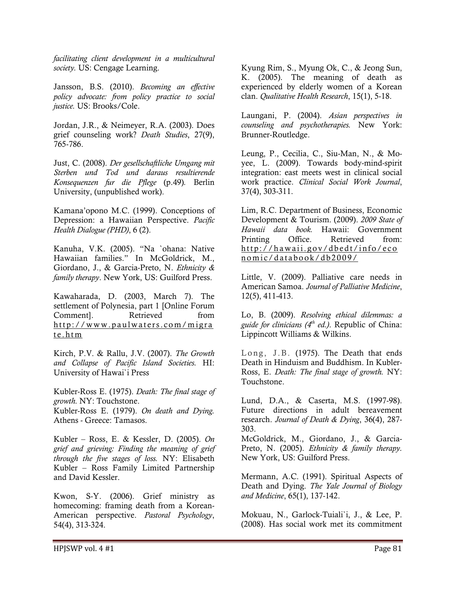facilitating client development in a multicultural society. US: Cengage Learning.

Jansson, B.S. (2010). Becoming an effective policy advocate: from policy practice to social justice. US: Brooks/Cole.

Jordan, J.R., & Neimeyer, R.A. (2003). Does grief counseling work? Death Studies, 27(9), 765-786.

Just, C. (2008). Der gesellschaftliche Umgang mit Sterben und Tod und daraus resultierende Konsequenzen fur die Pflege (p.49). Berlin University, (unpublished work).

Kamana'opono M.C. (1999). Conceptions of Depression: a Hawaiian Perspective. Pacific Health Dialogue (PHD), 6 (2).

Kanuha, V.K. (2005). "Na `ohana: Native Hawaiian families." In McGoldrick, M., Giordano, J., & Garcia-Preto, N. Ethnicity & family therapy. New York, US: Guilford Press.

Kawaharada, D. (2003, March 7). The settlement of Polynesia, part 1 [Online Forum Comment]. Retrieved from http://www.paulwaters.com/migra t e . h t m

Kirch, P.V. & Rallu, J.V. (2007). The Growth and Collapse of Pacific Island Societies. HI: University of Hawai`i Press

Kubler-Ross E. (1975). Death: The final stage of growth. NY: Touchstone. Kubler-Ross E. (1979). On death and Dying. Athens - Greece: Tamasos.

Kubler – Ross, E. & Kessler, D. (2005). On grief and grieving: Finding the meaning of grief through the five stages of loss. NY: Elisabeth Kubler – Ross Family Limited Partnership and David Kessler.

Kwon, S-Y. (2006). Grief ministry as homecoming: framing death from a Korean-American perspective. Pastoral Psychology, 54(4), 313-324.

Kyung Rim, S., Myung Ok, C., & Jeong Sun, K. (2005). The meaning of death as experienced by elderly women of a Korean clan. Qualitative Health Research, 15(1), 5-18.

Laungani, P. (2004). Asian perspectives in counseling and psychotherapies. New York: Brunner-Routledge.

Leung, P., Cecilia, C., Siu-Man, N., & Moyee, L. (2009). Towards body-mind-spirit integration: east meets west in clinical social work practice. Clinical Social Work Journal, 37(4), 303-311.

Lim, R.C. Department of Business, Economic Development & Tourism. (2009). 2009 State of Hawaii data book. Hawaii: Government Printing Office. Retrieved from: http://hawaii.gov/dbedt/info/eco nomic/databook/db2009/

Little, V. (2009). Palliative care needs in American Samoa. Journal of Palliative Medicine, 12(5), 411-413.

Lo, B. (2009). Resolving ethical dilemmas: a guide for clinicians  $(4<sup>th</sup> ed.)$ . Republic of China: Lippincott Williams & Wilkins.

Long, J.B. (1975). The Death that ends Death in Hinduism and Buddhism. In Kubler-Ross, E. Death: The final stage of growth. NY: Touchstone.

Lund, D.A., & Caserta, M.S. (1997-98). Future directions in adult bereavement research. Journal of Death & Dying, 36(4), 287- 303.

McGoldrick, M., Giordano, J., & Garcia-Preto, N. (2005). Ethnicity & family therapy. New York, US: Guilford Press.

Mermann, A.C. (1991). Spiritual Aspects of Death and Dying. The Yale Journal of Biology and Medicine, 65(1), 137-142.

Mokuau, N., Garlock-Tuiali`i, J., & Lee, P. (2008). Has social work met its commitment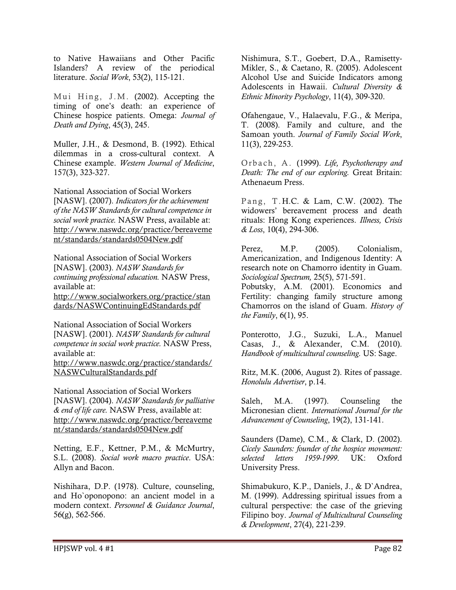to Native Hawaiians and Other Pacific Islanders? A review of the periodical literature. Social Work, 53(2), 115-121.

Mui Hing, J.M.  $(2002)$ . Accepting the timing of one's death: an experience of Chinese hospice patients. Omega: Journal of Death and Dying, 45(3), 245.

Muller, J.H., & Desmond, B. (1992). Ethical dilemmas in a cross-cultural context. A Chinese example. Western Journal of Medicine, 157(3), 323-327.

National Association of Social Workers [NASW]. (2007). Indicators for the achievement of the NASW Standards for cultural competence in social work practice. NASW Press, available at: http://www.naswdc.org/practice/bereaveme nt/standards/standards0504New.pdf

National Association of Social Workers [NASW]. (2003). NASW Standards for continuing professional education. NASW Press, available at:

http://www.socialworkers.org/practice/stan dards/NASWContinuingEdStandards.pdf

National Association of Social Workers [NASW]. (2001). NASW Standards for cultural competence in social work practice. NASW Press, available at:

http://www.naswdc.org/practice/standards/ NASWCulturalStandards.pdf

National Association of Social Workers [NASW]. (2004). NASW Standards for palliative & end of life care. NASW Press, available at: http://www.naswdc.org/practice/bereaveme nt/standards/standards0504New.pdf

Netting, E.F., Kettner, P.M., & McMurtry, S.L. (2008). Social work macro practice. USA: Allyn and Bacon.

Nishihara, D.P. (1978). Culture, counseling, and Ho`oponopono: an ancient model in a modern context. Personnel & Guidance Journal, 56(g), 562-566.

Nishimura, S.T., Goebert, D.A., Ramisetty-Mikler, S., & Caetano, R. (2005). Adolescent Alcohol Use and Suicide Indicators among Adolescents in Hawaii. Cultural Diversity & Ethnic Minority Psychology, 11(4), 309-320.

Ofahengaue, V., Halaevalu, F.G., & Meripa, T. (2008). Family and culture, and the Samoan youth. Journal of Family Social Work, 11(3), 229-253.

Orbach, A. (1999). Life, Psychotherapy and Death: The end of our exploring. Great Britain: Athenaeum Press.

Pang, T.H.C. & Lam, C.W. (2002). The widowers' bereavement process and death rituals: Hong Kong experiences. Illness, Crisis & Loss, 10(4), 294-306.

Perez, M.P. (2005). Colonialism, Americanization, and Indigenous Identity: A research note on Chamorro identity in Guam. Sociological Spectrum, 25(5), 571-591.

Pobutsky, A.M. (2001). Economics and Fertility: changing family structure among Chamorros on the island of Guam. History of the Family,  $6(1)$ , 95.

Ponterotto, J.G., Suzuki, L.A., Manuel Casas, J., & Alexander, C.M. (2010). Handbook of multicultural counseling. US: Sage.

Ritz, M.K. (2006, August 2). Rites of passage. Honolulu Advertiser, p.14.

Saleh, M.A. (1997). Counseling the Micronesian client. International Journal for the Advancement of Counseling, 19(2), 131-141.

Saunders (Dame), C.M., & Clark, D. (2002). Cicely Saunders: founder of the hospice movement: selected letters 1959-1999. UK: Oxford University Press.

Shimabukuro, K.P., Daniels, J., & D`Andrea, M. (1999). Addressing spiritual issues from a cultural perspective: the case of the grieving Filipino boy. Journal of Multicultural Counseling & Development, 27(4), 221-239.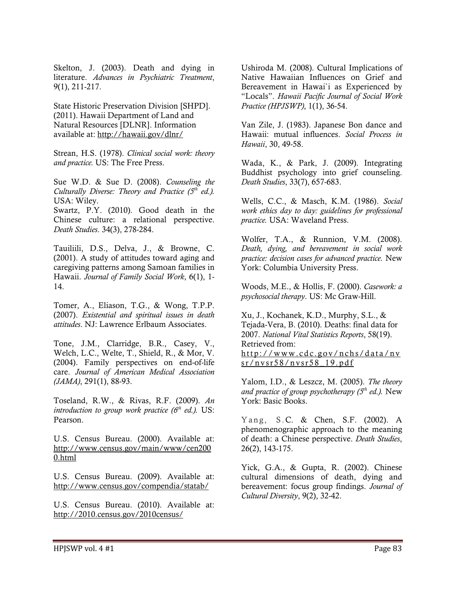Skelton, J. (2003). Death and dying in literature. Advances in Psychiatric Treatment, 9(1), 211-217.

State Historic Preservation Division [SHPD]. (2011). Hawaii Department of Land and Natural Resources [DLNR]. Information available at: http://hawaii.gov/dlnr/

Strean, H.S. (1978). Clinical social work: theory and practice. US: The Free Press.

Sue W.D. & Sue D. (2008). Counseling the Culturally Diverse: Theory and Practice  $(5<sup>th</sup>$  ed.). USA: Wiley.

Swartz, P.Y. (2010). Good death in the Chinese culture: a relational perspective. Death Studies. 34(3), 278-284.

Tauiliili, D.S., Delva, J., & Browne, C. (2001). A study of attitudes toward aging and caregiving patterns among Samoan families in Hawaii. Journal of Family Social Work, 6(1), 1- 14.

Tomer, A., Eliason, T.G., & Wong, T.P.P. (2007). Existential and spiritual issues in death attitudes. NJ: Lawrence Erlbaum Associates.

Tone, J.M., Clarridge, B.R., Casey, V., Welch, L.C., Welte, T., Shield, R., & Mor, V. (2004). Family perspectives on end-of-life care. Journal of American Medical Association  $(JAMA)$ , 291(1), 88-93.

Toseland, R.W., & Rivas, R.F. (2009). An introduction to group work practice  $(6<sup>th</sup> ed.)$ . US: Pearson.

U.S. Census Bureau. (2000). Available at: http://www.census.gov/main/www/cen200 0.html

U.S. Census Bureau. (2009). Available at: http://www.census.gov/compendia/statab/

U.S. Census Bureau. (2010). Available at: http://2010.census.gov/2010census/

Ushiroda M. (2008). Cultural Implications of Native Hawaiian Influences on Grief and Bereavement in Hawai`i as Experienced by "Locals". Hawaii Pacific Journal of Social Work Practice (HPJSWP), 1(1), 36-54.

Van Zile, J. (1983). Japanese Bon dance and Hawaii: mutual influences. Social Process in Hawaii, 30, 49-58.

Wada, K., & Park, J. (2009). Integrating Buddhist psychology into grief counseling. Death Studies, 33(7), 657-683.

Wells, C.C., & Masch, K.M. (1986). Social work ethics day to day: guidelines for professional practice. USA: Waveland Press.

Wolfer, T.A., & Runnion, V.M. (2008). Death, dying, and bereavement in social work practice: decision cases for advanced practice. New York: Columbia University Press.

Woods, M.E., & Hollis, F. (2000). Casework: a psychosocial therapy. US: Mc Graw-Hill.

Xu, J., Kochanek, K.D., Murphy, S.L., & Tejada-Vera, B. (2010). Deaths: final data for 2007. National Vital Statistics Reports, 58(19). Retrieved from: http://www.cdc.gov/nchs/data/ny sr/nvsr58/nvsr58 19.pdf

Yalom, I.D., & Leszcz, M. (2005). The theory and practice of group psychotherapy  $(5<sup>th</sup> ed.)$ . New York: Basic Books.

Yang, S.C. & Chen, S.F. (2002). A phenomenographic approach to the meaning of death: a Chinese perspective. Death Studies, 26(2), 143-175.

Yick, G.A., & Gupta, R. (2002). Chinese cultural dimensions of death, dying and bereavement: focus group findings. Journal of Cultural Diversity, 9(2), 32-42.